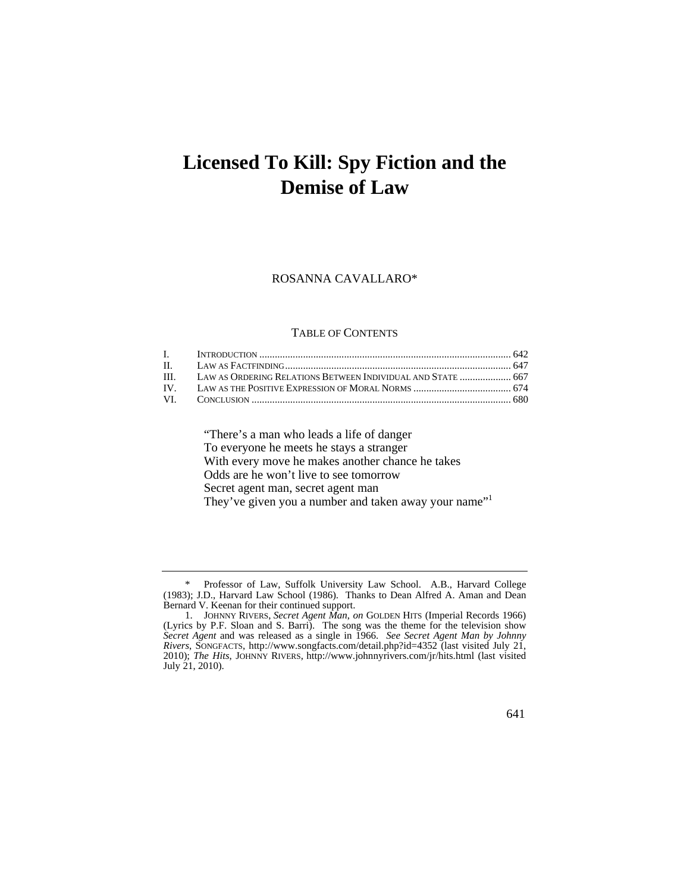# **Licensed To Kill: Spy Fiction and the Demise of Law**

### ROSANNA CAVALLARO\*

#### TABLE OF CONTENTS

| III. LAW AS ORDERING RELATIONS BETWEEN INDIVIDUAL AND STATE  667 |  |
|------------------------------------------------------------------|--|
|                                                                  |  |
|                                                                  |  |

"There's a man who leads a life of danger To everyone he meets he stays a stranger With every move he makes another chance he takes Odds are he won't live to see tomorrow Secret agent man, secret agent man They've given you a number and taken away your name"<sup>1</sup>

<sup>\*</sup> Professor of Law, Suffolk University Law School. A.B., Harvard College (1983); J.D., Harvard Law School (1986). Thanks to Dean Alfred A. Aman and Dean Bernard V. Keenan for their continued support.

 <sup>1.</sup> JOHNNY RIVERS, *Secret Agent Man*, *on* GOLDEN HITS (Imperial Records 1966) (Lyrics by P.F. Sloan and S. Barri). The song was the theme for the television show *Secret Agent* and was released as a single in 1966. *See Secret Agent Man by Johnny Rivers*, SONGFACTS, <http://www.songfacts.com/detail.php?id=4352> (last visited July 21, 2010); *The Hits*, JOHNNY RIVERS, <http://www.johnnyrivers.com/jr/hits.html>(last visited July 21, 2010).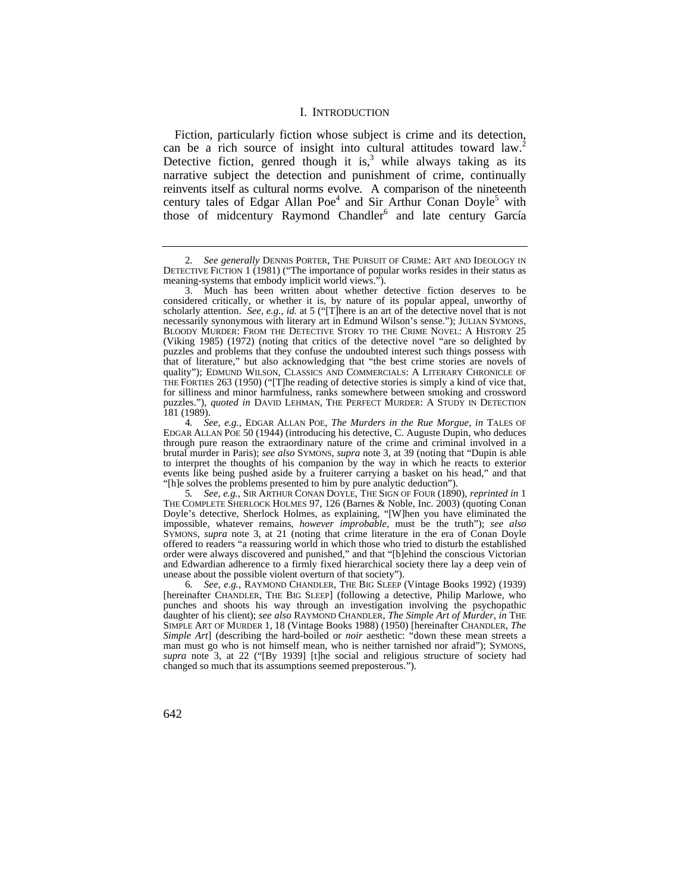### I. INTRODUCTION

Fiction, particularly fiction whose subject is crime and its detection, can be a rich source of insight into cultural attitudes toward law.<sup>2</sup> Detective fiction, genred though it is,<sup>3</sup> while always taking as its narrative subject the detection and punishment of crime, continually reinvents itself as cultural norms evolve. A comparison of the nineteenth century tales of Edgar Allan Poe<sup>4</sup> and Sir Arthur Conan Doyle<sup>5</sup> with those of midcentury Raymond Chandler<sup>6</sup> and late century García

 BLOODY MURDER: FROM THE DETECTIVE STORY TO THE CRIME NOVEL: A HISTORY 25 quality"); EDMUND WILSON, CLASSICS AND COMMERCIALS: A LITERARY CHRONICLE OF puzzles."), *quoted in* DAVID LEHMAN, THE PERFECT MURDER: A STUDY IN DETECTION 3. Much has been written about whether detective fiction deserves to be considered critically, or whether it is, by nature of its popular appeal, unworthy of scholarly attention. *See, e.g.*, *id.* at 5 ("[T]here is an art of the detective novel that is not necessarily synonymous with literary art in Edmund Wilson's sense."); JULIAN SYMONS, (Viking 1985) (1972) (noting that critics of the detective novel "are so delighted by puzzles and problems that they confuse the undoubted interest such things possess with that of literature," but also acknowledging that "the best crime stories are novels of THE FORTIES 263 (1950) ("[T]he reading of detective stories is simply a kind of vice that, for silliness and minor harmfulness, ranks somewhere between smoking and crossword 181 (1989).

6*. See, e.g.*, RAYMOND CHANDLER, THE BIG SLEEP (Vintage Books 1992) (1939) [hereinafter CHANDLER, THE BIG SLEEP] (following a detective, Philip Marlowe, who punches and shoots his way through an investigation involving the psychopathic daughter of his client); *see also* RAYMOND CHANDLER, *The Simple Art of Murder*, *in* THE SIMPLE ART OF MURDER 1, 18 (Vintage Books 1988) (1950) [hereinafter CHANDLER, *The Simple Art*] (describing the hard-boiled or *noir* aesthetic: "down these mean streets a man must go who is not himself mean, who is neither tarnished nor afraid"); SYMONS, *supra* note 3, at 22 ("[By 1939] [t]he social and religious structure of society had changed so much that its assumptions seemed preposterous.").

<sup>2</sup>*. See generally* DENNIS PORTER, THE PURSUIT OF CRIME: ART AND IDEOLOGY IN DETECTIVE FICTION 1 (1981) ("The importance of popular works resides in their status as meaning-systems that embody implicit world views.").

 events like being pushed aside by a fruiterer carrying a basket on his head," and that 4*. See, e.g.*, EDGAR ALLAN POE, *The Murders in the Rue Morgue*, *in* TALES OF EDGAR ALLAN POE 50 (1944) (introducing his detective, C. Auguste Dupin, who deduces through pure reason the extraordinary nature of the crime and criminal involved in a brutal murder in Paris); *see also* SYMONS, *supra* note 3, at 39 (noting that "Dupin is able to interpret the thoughts of his companion by the way in which he reacts to exterior "[h]e solves the problems presented to him by pure analytic deduction").

<sup>5</sup>*. See, e.g.*, SIR ARTHUR CONAN DOYLE, THE SIGN OF FOUR (1890), *reprinted in* 1 THE COMPLETE SHERLOCK HOLMES 97, 126 (Barnes & Noble, Inc. 2003) (quoting Conan Doyle's detective, Sherlock Holmes, as explaining, "[W]hen you have eliminated the impossible, whatever remains, *however improbable*, must be the truth"); *see also*  SYMONS, *supra* note 3, at 21 (noting that crime literature in the era of Conan Doyle offered to readers "a reassuring world in which those who tried to disturb the established order were always discovered and punished," and that "[b]ehind the conscious Victorian and Edwardian adherence to a firmly fixed hierarchical society there lay a deep vein of unease about the possible violent overturn of that society").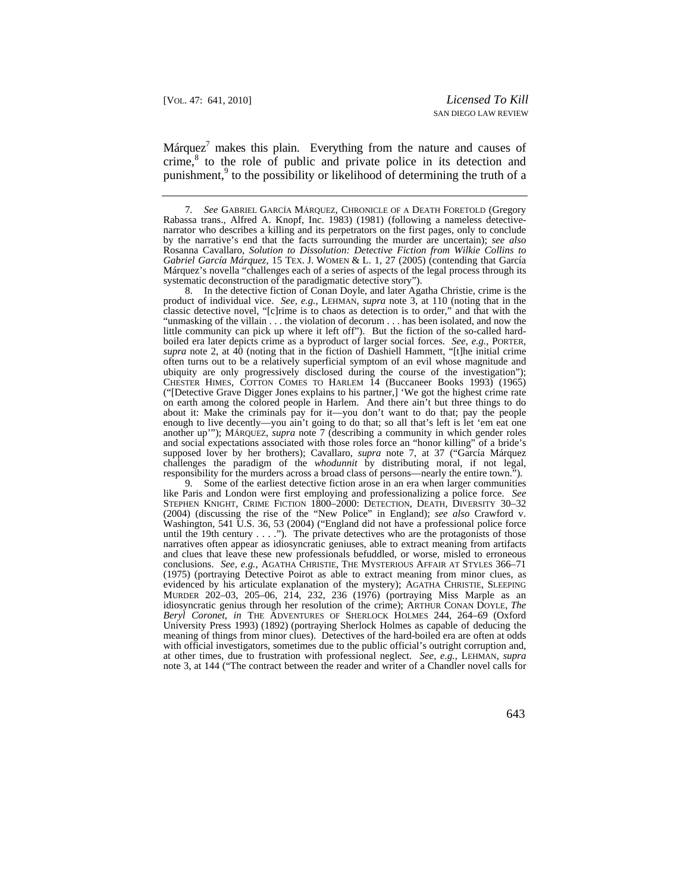Márquez $^7$  makes this plain. Everything from the nature and causes of crime,<sup>8</sup> to the role of public and private police in its detection and punishment,<sup>9</sup> to the possibility or likelihood of determining the truth of a

8. In the detective fiction of Conan Doyle, and later Agatha Christie, crime is the product of individual vice. *See, e.g.*, LEHMAN, *supra* note 3, at 110 (noting that in the classic detective novel, "[c]rime is to chaos as detection is to order," and that with the "unmasking of the villain . . . the violation of decorum . . . has been isolated, and now the little community can pick up where it left off"). But the fiction of the so-called hardboiled era later depicts crime as a byproduct of larger social forces. *See, e.g.*, PORTER, *supra* note 2, at 40 (noting that in the fiction of Dashiell Hammett, "[t]he initial crime often turns out to be a relatively superficial symptom of an evil whose magnitude and ubiquity are only progressively disclosed during the course of the investigation"); CHESTER HIMES, COTTON COMES TO HARLEM 14 (Buccaneer Books 1993) (1965) ("[Detective Grave Digger Jones explains to his partner,] 'We got the highest crime rate on earth among the colored people in Harlem. And there ain't but three things to do about it: Make the criminals pay for it—you don't want to do that; pay the people enough to live decently—you ain't going to do that; so all that's left is let 'em eat one another up'"); MÁRQUEZ, *supra* note 7 (describing a community in which gender roles and social expectations associated with those roles force an "honor killing" of a bride's supposed lover by her brothers); Cavallaro, *supra* note 7, at 37 ("García Márquez challenges the paradigm of the *whodunnit* by distributing moral, if not legal, responsibility for the murders across a broad class of persons—nearly the entire town.").

 STEPHEN KNIGHT, CRIME FICTION 1800–2000: DETECTION, DEATH, DIVERSITY 30–32 MURDER 202–03, 205–06, 214, 232, 236 (1976) (portraying Miss Marple as an *Beryl Coronet*, *in* THE ADVENTURES OF SHERLOCK HOLMES 244, 264–69 (Oxford University Press 1993) (1892) (portraying Sherlock Holmes as capable of deducing the 9. Some of the earliest detective fiction arose in an era when larger communities like Paris and London were first employing and professionalizing a police force. *See*  (2004) (discussing the rise of the "New Police" in England); *see also* Crawford v. Washington, 541 U.S. 36, 53 (2004) ("England did not have a professional police force until the 19th century  $\dots$ . The private detectives who are the protagonists of those narratives often appear as idiosyncratic geniuses, able to extract meaning from artifacts and clues that leave these new professionals befuddled, or worse, misled to erroneous conclusions. *See, e.g.*, AGATHA CHRISTIE, THE MYSTERIOUS AFFAIR AT STYLES 366–71 (1975) (portraying Detective Poirot as able to extract meaning from minor clues, as evidenced by his articulate explanation of the mystery); AGATHA CHRISTIE, SLEEPING idiosyncratic genius through her resolution of the crime); ARTHUR CONAN DOYLE, *The*  meaning of things from minor clues). Detectives of the hard-boiled era are often at odds with official investigators, sometimes due to the public official's outright corruption and, at other times, due to frustration with professional neglect. *See, e.g.*, LEHMAN, *supra* note 3, at 144 ("The contract between the reader and writer of a Chandler novel calls for

 *Gabriel García Márquez*, 15 TEX. J. WOMEN & L. 1, 27 (2005) (contending that García 7*. See* GABRIEL GARCÍA MÁRQUEZ, CHRONICLE OF A DEATH FORETOLD (Gregory Rabassa trans., Alfred A. Knopf, Inc. 1983) (1981) (following a nameless detectivenarrator who describes a killing and its perpetrators on the first pages, only to conclude by the narrative's end that the facts surrounding the murder are uncertain); *see also*  Rosanna Cavallaro, *Solution to Dissolution: Detective Fiction from Wilkie Collins to*  Márquez's novella "challenges each of a series of aspects of the legal process through its systematic deconstruction of the paradigmatic detective story").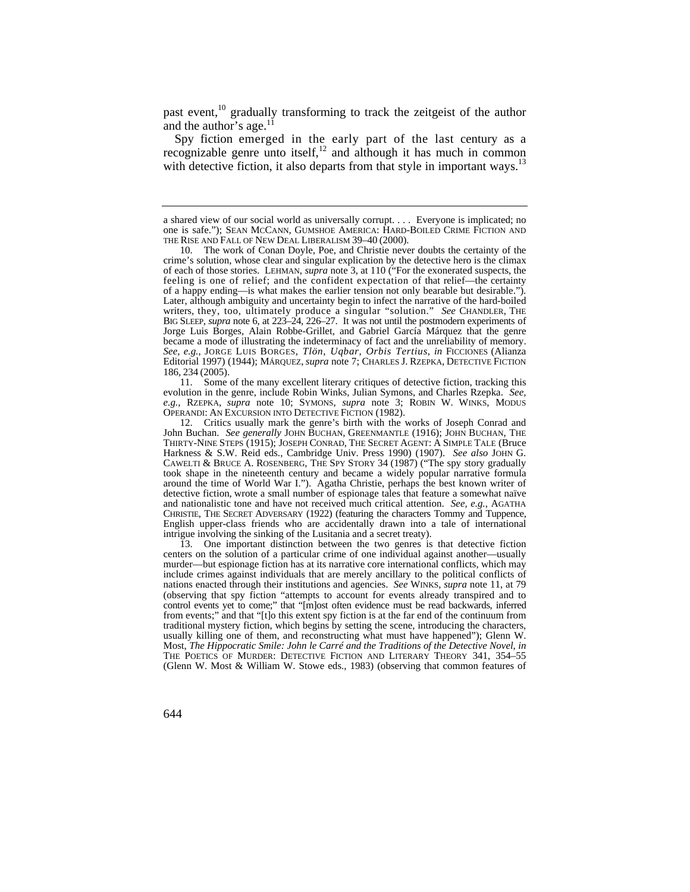past event, $^{10}$  gradually transforming to track the zeitgeist of the author and the author's age. $^{11}$ 

 Spy fiction emerged in the early part of the last century as a recognizable genre unto itself, $^{12}$  and although it has much in common with detective fiction, it also departs from that style in important ways.<sup>13</sup>

11. Some of the many excellent literary critiques of detective fiction, tracking this evolution in the genre, include Robin Winks, Julian Symons, and Charles Rzepka. *See, e.g.*, RZEPKA, *supra* note 10; SYMONS, *supra* note 3; ROBIN W. WINKS, MODUS OPERANDI: AN EXCURSION INTO DETECTIVE FICTION (1982).

 THIRTY-NINE STEPS (1915); JOSEPH CONRAD, THE SECRET AGENT: A SIMPLE TALE (Bruce CAWELTI & BRUCE A. ROSENBERG, THE SPY STORY 34 (1987) ("The spy story gradually around the time of World War I."). Agatha Christie, perhaps the best known writer of intrigue involving the sinking of the Lusitania and a secret treaty). 12. Critics usually mark the genre's birth with the works of Joseph Conrad and John Buchan. *See generally* JOHN BUCHAN, GREENMANTLE (1916); JOHN BUCHAN, THE Harkness & S.W. Reid eds., Cambridge Univ. Press 1990) (1907). *See also* JOHN G. took shape in the nineteenth century and became a widely popular narrative formula detective fiction, wrote a small number of espionage tales that feature a somewhat naïve and nationalistic tone and have not received much critical attention. *See, e.g.*, AGATHA CHRISTIE, THE SECRET ADVERSARY (1922) (featuring the characters Tommy and Tuppence, English upper-class friends who are accidentally drawn into a tale of international

 control events yet to come;" that "[m]ost often evidence must be read backwards, inferred (Glenn W. Most & William W. Stowe eds., 1983) (observing that common features of 13. One important distinction between the two genres is that detective fiction centers on the solution of a particular crime of one individual against another—usually murder—but espionage fiction has at its narrative core international conflicts, which may include crimes against individuals that are merely ancillary to the political conflicts of nations enacted through their institutions and agencies. *See* WINKS, *supra* note 11, at 79 (observing that spy fiction "attempts to account for events already transpired and to from events;" and that "[t]o this extent spy fiction is at the far end of the continuum from traditional mystery fiction, which begins by setting the scene, introducing the characters, usually killing one of them, and reconstructing what must have happened"); Glenn W. Most, *The Hippocratic Smile: John le Carré and the Traditions of the Detective Novel*, *in*  THE POETICS OF MURDER: DETECTIVE FICTION AND LITERARY THEORY 341, 354–55

a shared view of our social world as universally corrupt. . . . Everyone is implicated; no one is safe."); SEAN MCCANN, GUMSHOE AMERICA: HARD-BOILED CRIME FICTION AND THE RISE AND FALL OF NEW DEAL LIBERALISM 39–40 (2000).

 feeling is one of relief; and the confident expectation of that relief—the certainty writers, they, too, ultimately produce a singular "solution." *See* CHANDLER, THE Editorial 1997) (1944); MÁRQUEZ, *supra* note 7; CHARLES J. RZEPKA, DETECTIVE FICTION 186, 234 (2005). 10. The work of Conan Doyle, Poe, and Christie never doubts the certainty of the crime's solution, whose clear and singular explication by the detective hero is the climax of each of those stories. LEHMAN, *supra* note 3, at 110 ("For the exonerated suspects, the of a happy ending—is what makes the earlier tension not only bearable but desirable."). Later, although ambiguity and uncertainty begin to infect the narrative of the hard-boiled BIG SLEEP, *supra* note 6, at 223–24, 226–27. It was not until the postmodern experiments of Jorge Luis Borges, Alain Robbe-Grillet, and Gabriel García Márquez that the genre became a mode of illustrating the indeterminacy of fact and the unreliability of memory. *See, e.g.*, JORGE LUIS BORGES, *Tlön, Uqbar, Orbis Tertius*, *in* FICCIONES (Alianza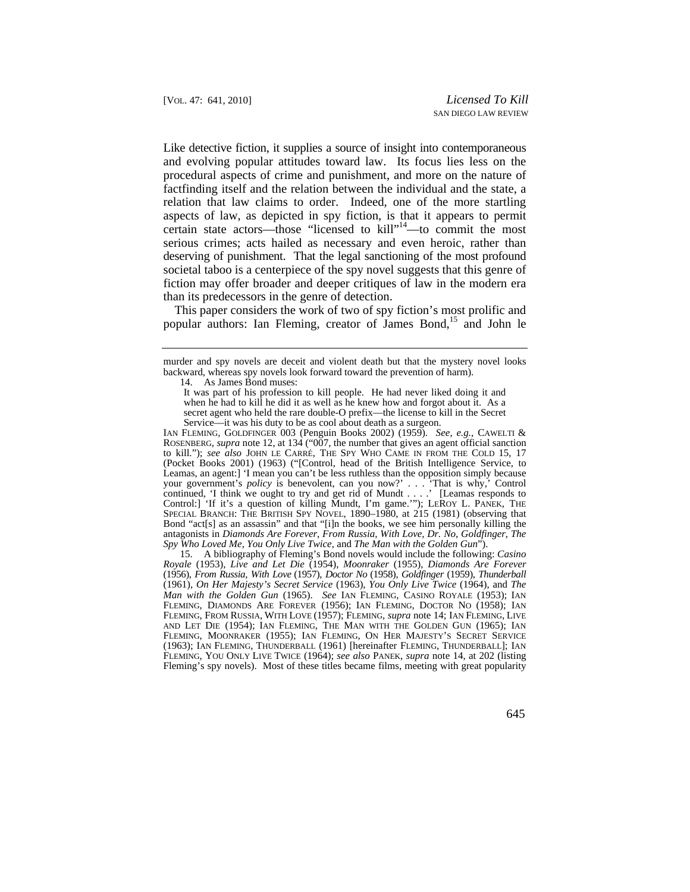Like detective fiction, it supplies a source of insight into contemporaneous and evolving popular attitudes toward law. Its focus lies less on the procedural aspects of crime and punishment, and more on the nature of factfinding itself and the relation between the individual and the state, a relation that law claims to order. Indeed, one of the more startling aspects of law, as depicted in spy fiction, is that it appears to permit certain state actors—those "licensed to kill"14—to commit the most serious crimes; acts hailed as necessary and even heroic, rather than deserving of punishment. That the legal sanctioning of the most profound societal taboo is a centerpiece of the spy novel suggests that this genre of fiction may offer broader and deeper critiques of law in the modern era than its predecessors in the genre of detection.

This paper considers the work of two of spy fiction's most prolific and popular authors: Ian Fleming, creator of James Bond,<sup>15</sup> and John le

murder and spy novels are deceit and violent death but that the mystery novel looks backward, whereas spy novels look forward toward the prevention of harm).

14. As James Bond muses:

IAN FLEMING, GOLDFINGER 003 (Penguin Books 2002) (1959). *See, e.g.*, CAWELTI & ROSENBERG*, supra* note 12, at 134 ("007, the number that gives an agent official sanction to kill."); *see also* JOHN LE CARRÉ, THE SPY WHO CAME IN FROM THE COLD 15, 17 (Pocket Books 2001) (1963) ("[Control, head of the British Intelligence Service, to Leamas, an agent:] 'I mean you can't be less ruthless than the opposition simply because your government's *policy* is benevolent, can you now?' . . . 'That is why,' Control continued, 'I think we ought to try and get rid of Mundt . . . .' [Leamas responds to Control:] 'If it's a question of killing Mundt, I'm game.'"); LEROY L. PANEK, THE SPECIAL BRANCH: THE BRITISH SPY NOVEL, 1890-1980, at 215 (1981) (observing that Bond "act[s] as an assassin" and that "[i]n the books, we see him personally killing the antagonists in *Diamonds Are Forever*, *From Russia, With Love*, *Dr. No*, *Goldfinger*, *The Spy Who Loved Me*, *You Only Live Twice*, and *The Man with the Golden Gun*").

15. A bibliography of Fleming's Bond novels would include the following: *Casino Royale* (1953), *Live and Let Die* (1954), *Moonraker* (1955), *Diamonds Are Forever*  (1956), *From Russia, With Love* (1957), *Doctor No* (1958), *Goldfinger* (1959), *Thunderball*  (1961), *On Her Majesty's Secret Service* (1963), *You Only Live Twice* (1964), and *The Man with the Golden Gun* (1965). *See* IAN FLEMING, CASINO ROYALE (1953); IAN FLEMING, DIAMONDS ARE FOREVER (1956); IAN FLEMING, DOCTOR NO (1958); IAN FLEMING, FROM RUSSIA, WITH LOVE (1957); FLEMING, *supra* note 14; IAN FLEMING, LIVE AND LET DIE (1954); IAN FLEMING, THE MAN WITH THE GOLDEN GUN (1965); IAN FLEMING, MOONRAKER (1955); IAN FLEMING, ON HER MAJESTY'S SECRET SERVICE (1963); IAN FLEMING, THUNDERBALL (1961) [hereinafter FLEMING, THUNDERBALL]; IAN FLEMING, YOU ONLY LIVE TWICE (1964); *see also* PANEK, *supra* note 14, at 202 (listing Fleming's spy novels). Most of these titles became films, meeting with great popularity

 Service—it was his duty to be as cool about death as a surgeon. It was part of his profession to kill people. He had never liked doing it and when he had to kill he did it as well as he knew how and forgot about it. As a secret agent who held the rare double-O prefix—the license to kill in the Secret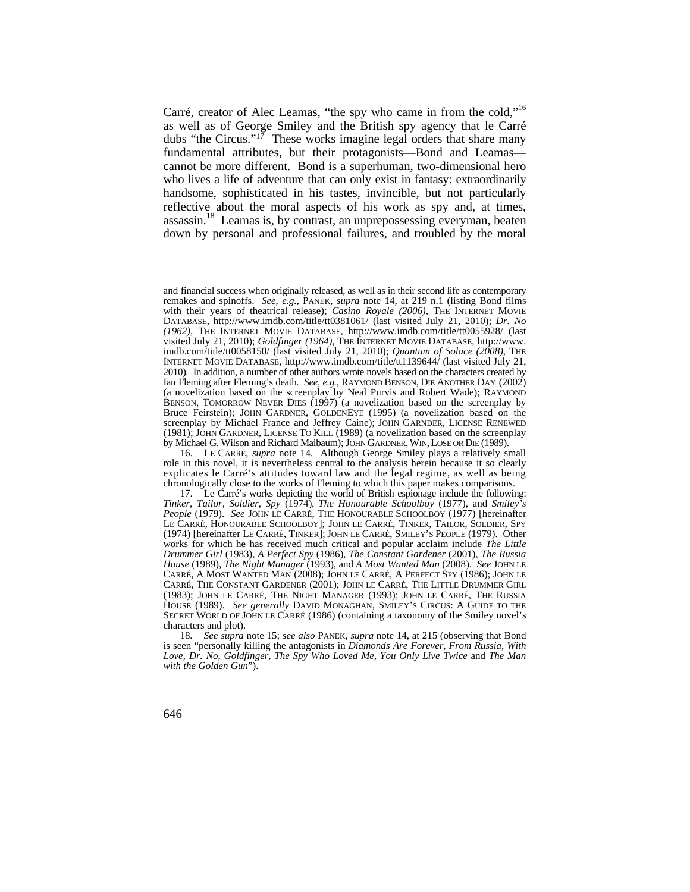Carré, creator of Alec Leamas, "the spy who came in from the cold,"16 as well as of George Smiley and the British spy agency that le Carré dubs "the Circus."<sup>17</sup> These works imagine legal orders that share many fundamental attributes, but their protagonists—Bond and Leamas cannot be more different. Bond is a superhuman, two-dimensional hero who lives a life of adventure that can only exist in fantasy: extraordinarily handsome, sophisticated in his tastes, invincible, but not particularly reflective about the moral aspects of his work as spy and, at times, [assassin.](https://assassin.18)<sup>18</sup> Leamas is, by contrast, an unprepossessing everyman, beaten down by personal and professional failures, and troubled by the moral

 and financial success when originally released, as well as in their second life as contemporary 2010). In addition, a number of other authors wrote novels based on the characters created by Ian Fleming after Fleming's death. *See, e.g.*, RAYMOND BENSON, DIE ANOTHER DAY (2002) BENSON, TOMORROW NEVER DIES (1997) (a novelization based on the screenplay by by Michael G. Wilson and Richard Maibaum); JOHN GARDNER, WIN, LOSE OR DIE (1989). remakes and spinoffs. *See, e.g.*, PANEK, *supra* note 14, at 219 n.1 (listing Bond films with their years of theatrical release); *Casino Royale (2006)*, THE INTERNET MOVIE DATABASE, [http://www.imdb.com/title/tt0381061/](http://www.imdb.com/title/tt0381061) (last visited July 21, 2010); *Dr. No (1962)*, THE INTERNET MOVIE DATABASE, <http://www.imdb.com/title/tt0055928>/ (last visited July 21, 2010); *Goldfinger (1964)*, THE INTERNET MOVIE DATABASE, [http://www.](http://www) [imdb.com/title/tt0058150/](https://imdb.com/title/tt0058150) (last visited July 21, 2010); *Quantum of Solace (2008)*, THE INTERNET MOVIE DATABASE, [http://www.imdb.com/title/tt1139644/](http://www.imdb.com/title/tt1139644) (last visited July 21, (a novelization based on the screenplay by Neal Purvis and Robert Wade); RAYMOND Bruce Feirstein); JOHN GARDNER, GOLDENEYE (1995) (a novelization based on the screenplay by Michael France and Jeffrey Caine); JOHN GARNDER, LICENSE RENEWED (1981); JOHN GARDNER, LICENSE TO KILL (1989) (a novelization based on the screenplay

 explicates le Carré's attitudes toward law and the legal regime, as well as being 16. LE CARRÉ, *supra* note 14. Although George Smiley plays a relatively small role in this novel, it is nevertheless central to the analysis herein because it so clearly chronologically close to the works of Fleming to which this paper makes comparisons.

 LE CARRÉ, HONOURABLE SCHOOLBOY]; JOHN LE CARRÉ, TINKER, TAILOR, SOLDIER, SPY HOUSE (1989). *See generally* DAVID MONAGHAN, SMILEY'S CIRCUS: A GUIDE TO THE SECRET WORLD OF JOHN LE CARRÉ (1986) (containing a taxonomy of the Smiley novel's 17. Le Carré's works depicting the world of British espionage include the following: *Tinker, Tailor, Soldier, Spy* (1974), *The Honourable Schoolboy* (1977), and *Smiley's People* (1979). *See* JOHN LE CARRÉ, THE HONOURABLE SCHOOLBOY (1977) [hereinafter (1974) [hereinafter LE CARRÉ, TINKER]; JOHN LE CARRÉ, SMILEY'S PEOPLE (1979). Other works for which he has received much critical and popular acclaim include *The Little Drummer Girl* (1983), *A Perfect Spy* (1986), *The Constant Gardener* (2001), *The Russia House* (1989), *The Night Manager* (1993), and *A Most Wanted Man* (2008). *See* JOHN LE CARRÉ, A MOST WANTED MAN (2008); JOHN LE CARRÉ, A PERFECT SPY (1986); JOHN LE CARRÉ, THE CONSTANT GARDENER (2001); JOHN LE CARRÉ, THE LITTLE DRUMMER GIRL (1983); JOHN LE CARRÉ, THE NIGHT MANAGER (1993); JOHN LE CARRÉ, THE RUSSIA characters and plot).

<sup>18</sup>*. See supra* note 15; *see also* PANEK, *supra* note 14, at 215 (observing that Bond is seen "personally killing the antagonists in *Diamonds Are Forever*, *From Russia, With Love*, *Dr. No*, *Goldfinger*, *The Spy Who Loved Me*, *You Only Live Twice* and *The Man with the Golden Gun*").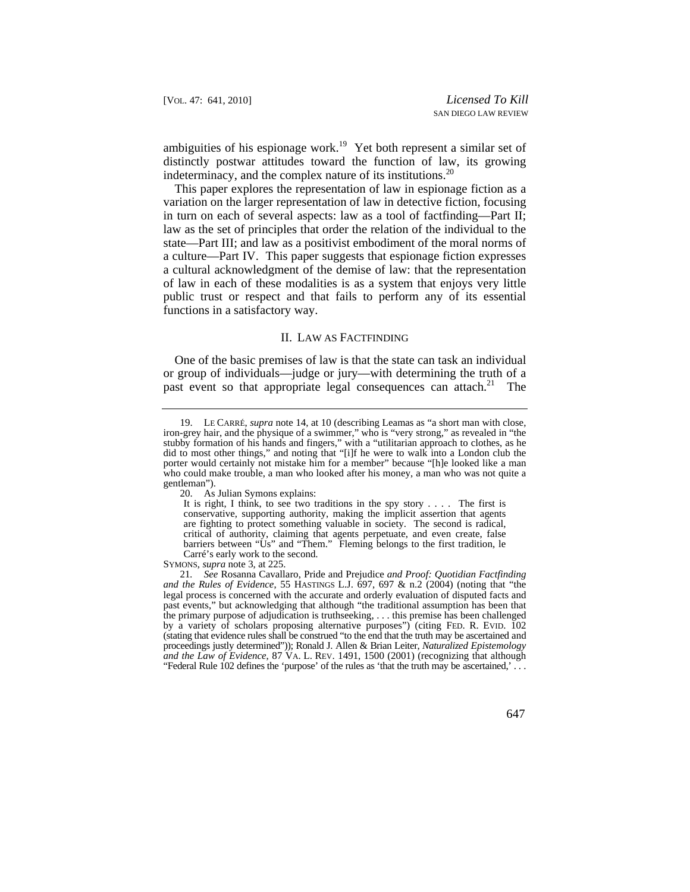ambiguities of his espionage work.<sup>19</sup> Yet both represent a similar set of distinctly postwar attitudes toward the function of law, its growing indeterminacy, and the complex nature of its institutions.<sup>20</sup>

 functions in a satisfactory way. This paper explores the representation of law in espionage fiction as a variation on the larger representation of law in detective fiction, focusing in turn on each of several aspects: law as a tool of factfinding—Part II; law as the set of principles that order the relation of the individual to the state—Part III; and law as a positivist embodiment of the moral norms of a culture—Part IV. This paper suggests that espionage fiction expresses a cultural acknowledgment of the demise of law: that the representation of law in each of these modalities is as a system that enjoys very little public trust or respect and that fails to perform any of its essential

### II. LAW AS FACTFINDING

One of the basic premises of law is that the state can task an individual or group of individuals—judge or jury—with determining the truth of a past event so that appropriate legal consequences can [attach.](https://attach.21)<sup>21</sup> The

 <sup>19.</sup> LE CARRÉ, *supra* note 14, at 10 (describing Leamas as "a short man with close, iron-grey hair, and the physique of a swimmer," who is "very strong," as revealed in "the stubby formation of his hands and fingers," with a "utilitarian approach to clothes, as he did to most other things," and noting that "[i]f he were to walk into a London club the porter would certainly not mistake him for a member" because "[h]e looked like a man who could make trouble, a man who looked after his money, a man who was not quite a gentleman").

<sup>20.</sup> As Julian Symons explains:

 are fighting to protect something valuable in society. The second is radical, It is right, I think, to see two traditions in the spy story . . . . The first is conservative, supporting authority, making the implicit assertion that agents critical of authority, claiming that agents perpetuate, and even create, false barriers between "Us" and "Them." Fleming belongs to the first tradition, le Carré's early work to the second.

SYMONS, *supra* note 3, at 225.

 by a variety of scholars proposing alternative purposes") (citing FED. R. EVID. 102 *and the Law of Evidence*, 87 VA. L. REV. 1491, 1500 (2001) (recognizing that although 21*. See* Rosanna Cavallaro, Pride and Prejudice *and Proof: Quotidian Factfinding and the Rules of Evidence*, 55 HASTINGS L.J. 697, 697 & n.2 (2004) (noting that "the legal process is concerned with the accurate and orderly evaluation of disputed facts and past events," but acknowledging that although "the traditional assumption has been that the primary purpose of adjudication is truthseeking, . . . this premise has been challenged (stating that evidence rules shall be construed "to the end that the truth may be ascertained and proceedings justly determined")); Ronald J. Allen & Brian Leiter, *Naturalized Epistemology*  "Federal Rule 102 defines the 'purpose' of the rules as 'that the truth may be ascertained,' . . .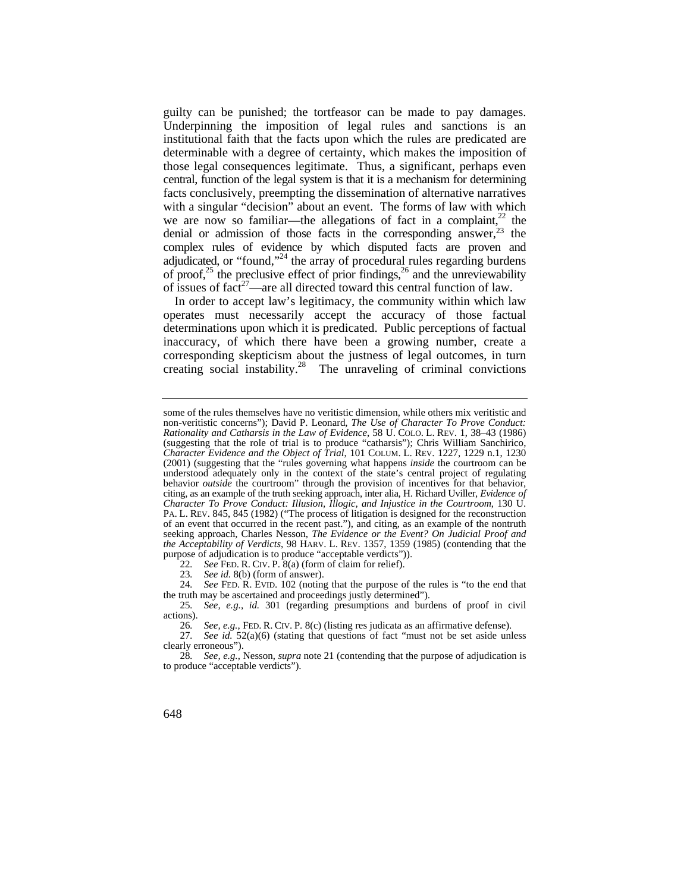guilty can be punished; the tortfeasor can be made to pay damages. we are now so familiar—the allegations of fact in a complaint, $22$  the Underpinning the imposition of legal rules and sanctions is an institutional faith that the facts upon which the rules are predicated are determinable with a degree of certainty, which makes the imposition of those legal consequences legitimate. Thus, a significant, perhaps even central, function of the legal system is that it is a mechanism for determining facts conclusively, preempting the dissemination of alternative narratives with a singular "decision" about an event. The forms of law with which denial or admission of those facts in the corresponding answer, $2<sup>3</sup>$  the complex rules of evidence by which disputed facts are proven and adjudicated, or "found,"<sup>24</sup> the array of procedural rules regarding burdens of proof,<sup>25</sup> the preclusive effect of prior findings,<sup>26</sup> and the unreviewability of issues of  $fact^{27}$ —are all directed toward this central function of law.

In order to accept law's legitimacy, the community within which law operates must necessarily accept the accuracy of those factual determinations upon which it is predicated. Public perceptions of factual inaccuracy, of which there have been a growing number, create a corresponding skepticism about the justness of legal outcomes, in turn creating social instability.<sup>28</sup> The unraveling of criminal convictions

 *Rationality and Catharsis in the Law of Evidence*, 58 U. COLO. L. REV. 1, 38–43 (1986) *Character Evidence and the Object of Trial*, 101 COLUM. L. REV. 1227, 1229 n.1, 1230 PA. L. REV. 845, 845 (1982) ("The process of litigation is designed for the reconstruction *the Acceptability of Verdicts*, 98 HARV. L. REV. 1357, 1359 (1985) (contending that the some of the rules themselves have no veritistic dimension, while others mix veritistic and non-veritistic concerns"); David P. Leonard, *The Use of Character To Prove Conduct:*  (suggesting that the role of trial is to produce "catharsis"); Chris William Sanchirico, (2001) (suggesting that the "rules governing what happens *inside* the courtroom can be understood adequately only in the context of the state's central project of regulating behavior *outside* the courtroom" through the provision of incentives for that behavior, citing, as an example of the truth seeking approach, inter alia, H. Richard Uviller, *Evidence of Character To Prove Conduct: Illusion, Illogic, and Injustice in the Courtroom*, 130 U. of an event that occurred in the recent past."), and citing, as an example of the nontruth seeking approach, Charles Nesson, *The Evidence or the Event? On Judicial Proof and*  purpose of adjudication is to produce "acceptable verdicts")).

 22*. See* FED. R. CIV. P. 8(a) (form of claim for relief).

<sup>23</sup>*. See id.* 8(b) (form of answer).

 24*. See* FED. R. EVID. 102 (noting that the purpose of the rules is "to the end that the truth may be ascertained and proceedings justly determined").

<sup>25</sup>*. See, e.g.*, *id.* 301 (regarding presumptions and burdens of proof in civil actions).

 26*. See, e.g.*, FED. R. CIV. P. 8(c) (listing res judicata as an affirmative defense).

<sup>27</sup>*. See id.* 52(a)(6) (stating that questions of fact "must not be set aside unless clearly erroneous").

<sup>28</sup>*. See, e.g.*, Nesson, *supra* note 21 (contending that the purpose of adjudication is to produce "acceptable verdicts").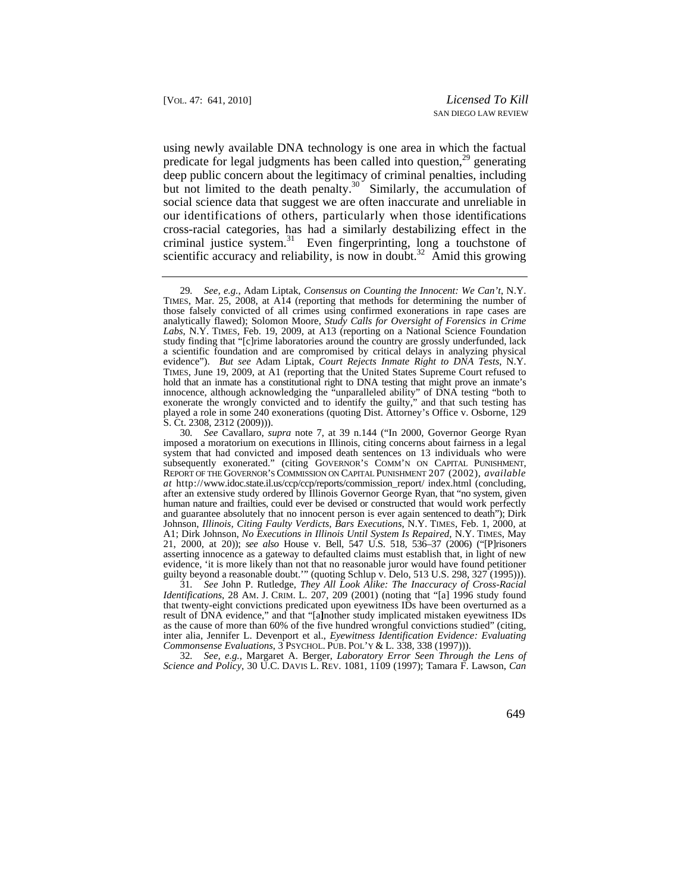but not limited to the death penalty. $30<sup>-</sup>$  Similarly, the accumulation of our identifications of others, particularly when those identifications scientific accuracy and reliability, is now in doubt.<sup>32</sup> Amid this growing using newly available DNA technology is one area in which the factual predicate for legal judgments has been called into question, $2<sup>9</sup>$  generating deep public concern about the legitimacy of criminal penalties, including social science data that suggest we are often inaccurate and unreliable in cross-racial categories, has had a similarly destabilizing effect in the criminal justice [system.](https://system.31)<sup>31</sup> Even fingerprinting, long a touchstone of

 *Identifications*, 28 AM. J. CRIM. L. 207, 209 (2001) (noting that "[a] 1996 study found *Commonsense Evaluations*, 3 PSYCHOL. PUB. POL'Y & L. 338, 338 (1997))). 31*. See* John P. Rutledge, *They All Look Alike: The Inaccuracy of Cross-Racial*  that twenty-eight convictions predicated upon eyewitness IDs have been overturned as a result of DNA evidence," and that "[a**]**nother study implicated mistaken eyewitness IDs as the cause of more than 60% of the five hundred wrongful convictions studied" (citing, inter alia, Jennifer L. Devenport et al., *Eyewitness Identification Evidence: Evaluating* 

 *Science and Policy*, 30 U.C. DAVIS L. REV. 1081, 1109 (1997); Tamara F. Lawson, *Can*  32*. See, e.g.*, Margaret A. Berger, *Laboratory Error Seen Through the Lens of* 

<sup>29</sup>*. See, e.g.*, Adam Liptak, *Consensus on Counting the Innocent: We Can't*, N.Y. TIMES, Mar. 25, 2008, at A14 (reporting that methods for determining the number of those falsely convicted of all crimes using confirmed exonerations in rape cases are analytically flawed); Solomon Moore, *Study Calls for Oversight of Forensics in Crime Labs*, N.Y. TIMES, Feb. 19, 2009, at A13 (reporting on a National Science Foundation study finding that "[c]rime laboratories around the country are grossly underfunded, lack a scientific foundation and are compromised by critical delays in analyzing physical evidence"). *But see* Adam Liptak, *Court Rejects Inmate Right to DNA Tests*, N.Y. TIMES, June 19, 2009, at A1 (reporting that the United States Supreme Court refused to hold that an inmate has a constitutional right to DNA testing that might prove an inmate's innocence, although acknowledging the "unparalleled ability" of DNA testing "both to exonerate the wrongly convicted and to identify the guilty," and that such testing has played a role in some 240 exonerations (quoting Dist. Attorney's Office v. Osborne, 129 S. Ct. 2308, 2312 (2009))).

 after an extensive study ordered by Illinois Governor George Ryan, that "no system, given human nature and frailties, could ever be devised or constructed that would work perfectly and guarantee absolutely that no innocent person is ever again sentenced to death"); Dirk 30*. See* Cavallaro, *supra* note 7, at 39 n.144 ("In 2000, Governor George Ryan imposed a moratorium on executions in Illinois, citing concerns about fairness in a legal system that had convicted and imposed death sentences on 13 individuals who were subsequently exonerated." (citing GOVERNOR'S COMM'N ON CAPITAL PUNISHMENT, REPORT OF THE GOVERNOR'S COMMISSION ON CAPITAL PUNISHMENT 207 (2002), *available at* [http://www.idoc.state.il.us/ccp/ccp/reports/commission\\_report](http://www.idoc.state.il.us/ccp/ccp/reports/commission_report)/ index.html (concluding, Johnson, *Illinois, Citing Faulty Verdicts, Bars Executions*, N.Y. TIMES, Feb. 1, 2000, at A1; Dirk Johnson, *No Executions in Illinois Until System Is Repaired*, N.Y. TIMES, May 21, 2000, at 20)); *see also* House v. Bell, 547 U.S. 518, 536–37 (2006) ("[P]risoners asserting innocence as a gateway to defaulted claims must establish that, in light of new evidence, 'it is more likely than not that no reasonable juror would have found petitioner guilty beyond a reasonable doubt.'" (quoting Schlup v. Delo, 513 U.S. 298, 327 (1995))).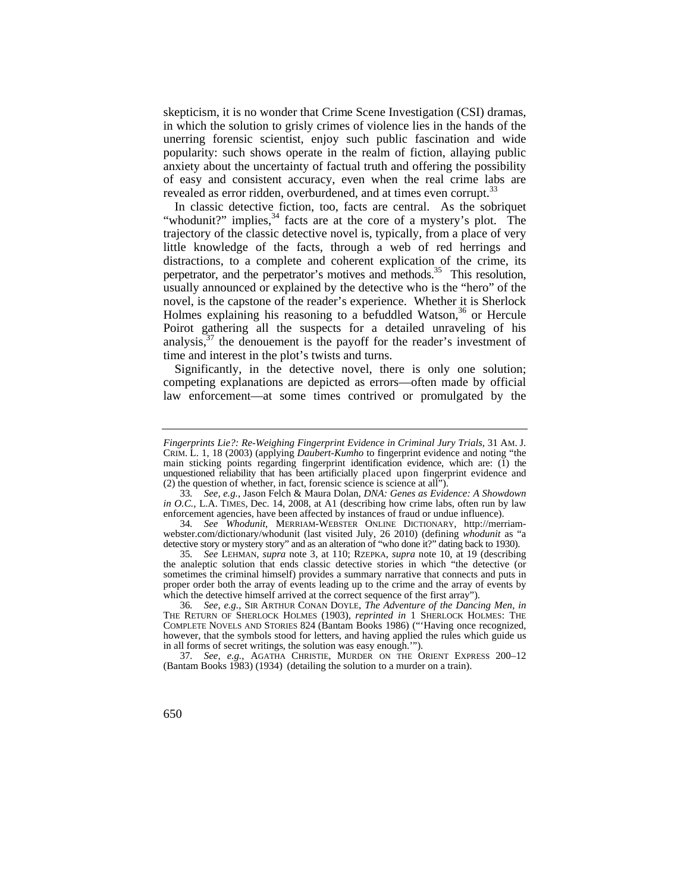skepticism, it is no wonder that Crime Scene Investigation (CSI) dramas, in which the solution to grisly crimes of violence lies in the hands of the unerring forensic scientist, enjoy such public fascination and wide popularity: such shows operate in the realm of fiction, allaying public anxiety about the uncertainty of factual truth and offering the possibility of easy and consistent accuracy, even when the real crime labs are revealed as error ridden, overburdened, and at times even corrupt.<sup>33</sup>

In classic detective fiction, too, facts are central. As the sobriquet "whodunit?" implies,<sup>34</sup> facts are at the core of a mystery's plot. The trajectory of the classic detective novel is, typically, from a place of very little knowledge of the facts, through a web of red herrings and distractions, to a complete and coherent explication of the crime, its perpetrator, and the perpetrator's motives and methods.<sup>35</sup> This resolution, usually announced or explained by the detective who is the "hero" of the novel, is the capstone of the reader's experience. Whether it is Sherlock Holmes explaining his reasoning to a befuddled Watson,<sup>36</sup> or Hercule Poirot gathering all the suspects for a detailed unraveling of his analysis, $37$  the denouement is the payoff for the reader's investment of time and interest in the plot's twists and turns.

Significantly, in the detective novel, there is only one solution; competing explanations are depicted as errors—often made by official law enforcement—at some times contrived or promulgated by the

 detective story or mystery story" and as an alteration of "who done it?" dating back to 1930). 34*. See Whodunit*, MERRIAM-WEBSTER ONLINE DICTIONARY, <http://merriam>[webster.com/dictionary/whodunit](https://webster.com/dictionary/whodunit) (last visited July, 26 2010) (defining *whodunit* as "a

 *Fingerprints Lie?: Re-Weighing Fingerprint Evidence in Criminal Jury Trials*, 31 AM. J. main sticking points regarding fingerprint identification evidence, which are: (1) the unquestioned reliability that has been artificially placed upon fingerprint evidence and (2) the question of whether, in fact, forensic science is science at all"). CRIM. L. 1, 18 (2003) (applying *Daubert-Kumho* to fingerprint evidence and noting "the

 *in O.C.*, L.A. TIMES, Dec. 14, 2008, at A1 (describing how crime labs, often run by law 33*. See, e.g.*, Jason Felch & Maura Dolan, *DNA: Genes as Evidence: A Showdown*  enforcement agencies, have been affected by instances of fraud or undue influence).

which the detective himself arrived at the correct sequence of the first array"). 35*. See* LEHMAN, *supra* note 3, at 110; RZEPKA, *supra* note 10, at 19 (describing the analeptic solution that ends classic detective stories in which "the detective (or sometimes the criminal himself) provides a summary narrative that connects and puts in proper order both the array of events leading up to the crime and the array of events by

<sup>36</sup>*. See, e.g.*, SIR ARTHUR CONAN DOYLE, *The Adventure of the Dancing Men*, *in*  THE RETURN OF SHERLOCK HOLMES (1903), *reprinted in* 1 SHERLOCK HOLMES: THE COMPLETE NOVELS AND STORIES 824 (Bantam Books 1986) ("'Having once recognized, however, that the symbols stood for letters, and having applied the rules which guide us in all forms of secret writings, the solution was easy enough.'").

<sup>37</sup>*. See, e.g.*, AGATHA CHRISTIE, MURDER ON THE ORIENT EXPRESS 200–12 (Bantam Books 1983) (1934) (detailing the solution to a murder on a train).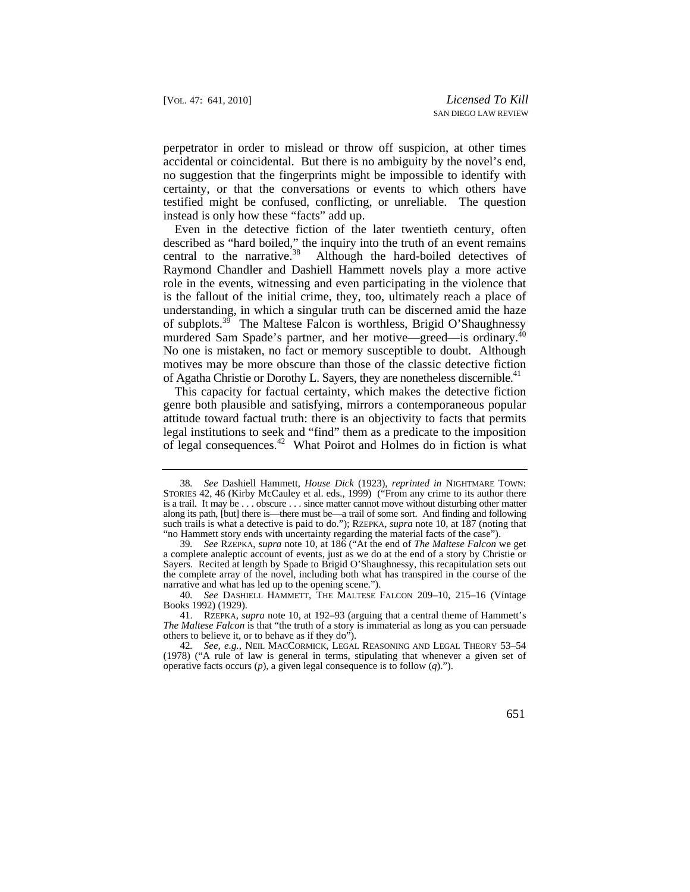perpetrator in order to mislead or throw off suspicion, at other times accidental or coincidental. But there is no ambiguity by the novel's end, no suggestion that the fingerprints might be impossible to identify with certainty, or that the conversations or events to which others have testified might be confused, conflicting, or unreliable. The question instead is only how these "facts" add up.

murdered Sam Spade's partner, and her motive—greed—is ordinary.<sup>40</sup> Even in the detective fiction of the later twentieth century, often described as "hard boiled," the inquiry into the truth of an event remains central to the [narrative.](https://narrative.38)<sup>38</sup> Although the hard-boiled detectives of Raymond Chandler and Dashiell Hammett novels play a more active role in the events, witnessing and even participating in the violence that is the fallout of the initial crime, they, too, ultimately reach a place of understanding, in which a singular truth can be discerned amid the haze of [subplots.39](https://subplots.39) The Maltese Falcon is worthless, Brigid O'Shaughnessy No one is mistaken, no fact or memory susceptible to doubt. Although motives may be more obscure than those of the classic detective fiction of Agatha Christie or Dorothy L. Sayers, they are nonetheless discernible.<sup>41</sup>

 attitude toward factual truth: there is an objectivity to facts that permits This capacity for factual certainty, which makes the detective fiction genre both plausible and satisfying, mirrors a contemporaneous popular legal institutions to seek and "find" them as a predicate to the imposition of legal [consequences.](https://consequences.42)42 What Poirot and Holmes do in fiction is what

 is a trail. It may be . . . obscure . . . since matter cannot move without disturbing other matter 38*. See* Dashiell Hammett, *House Dick* (1923), *reprinted in* NIGHTMARE TOWN: STORIES 42, 46 (Kirby McCauley et al. eds., 1999) ("From any crime to its author there along its path, [but] there is—there must be—a trail of some sort. And finding and following such trails is what a detective is paid to do."); RZEPKA, *supra* note 10, at 187 (noting that "no Hammett story ends with uncertainty regarding the material facts of the case").

<sup>39</sup>*. See* RZEPKA, *supra* note 10, at 186 ("At the end of *The Maltese Falcon* we get a complete analeptic account of events, just as we do at the end of a story by Christie or Sayers. Recited at length by Spade to Brigid O'Shaughnessy, this recapitulation sets out the complete array of the novel, including both what has transpired in the course of the narrative and what has led up to the opening scene.").

<sup>40</sup>*. See* DASHIELL HAMMETT, THE MALTESE FALCON 209–10, 215–16 (Vintage Books 1992) (1929).

 others to believe it, or to behave as if they do"). 41. RZEPKA, *supra* note 10, at 192–93 (arguing that a central theme of Hammett's *The Maltese Falcon* is that "the truth of a story is immaterial as long as you can persuade

<sup>42</sup>*. See, e.g.*, NEIL MACCORMICK, LEGAL REASONING AND LEGAL THEORY 53–54 (1978) ("A rule of law is general in terms, stipulating that whenever a given set of operative facts occurs (*p*), a given legal consequence is to follow (*q*).").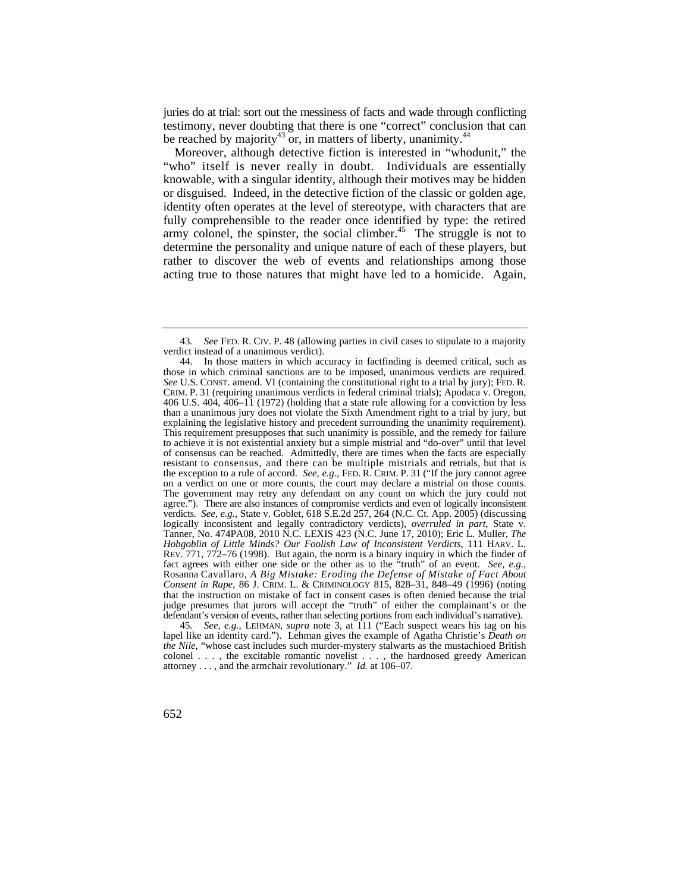juries do at trial: sort out the messiness of facts and wade through conflicting testimony, never doubting that there is one "correct" conclusion that can be reached by majority<sup>43</sup> or, in matters of liberty, unanimity.<sup>44</sup>

"who" itself is never really in doubt. Individuals are essentially Moreover, although detective fiction is interested in "whodunit," the knowable, with a singular identity, although their motives may be hidden or disguised. Indeed, in the detective fiction of the classic or golden age, identity often operates at the level of stereotype, with characters that are fully comprehensible to the reader once identified by type: the retired army colonel, the spinster, the social [climber.](https://climber.45)<sup>45</sup> The struggle is not to determine the personality and unique nature of each of these players, but rather to discover the web of events and relationships among those acting true to those natures that might have led to a homicide. Again,

45*. See, e.g.*, LEHMAN, *supra* note 3, at 111 ("Each suspect wears his tag on his lapel like an identity card."). Lehman gives the example of Agatha Christie's *Death on the Nile*, "whose cast includes such murder-mystery stalwarts as the mustachioed British colonel . . . , the excitable romantic novelist . . . , the hardnosed greedy American attorney . . . , and the armchair revolutionary." *Id.* at 106–07.

 43*. See* FED. R. CIV. P. 48 (allowing parties in civil cases to stipulate to a majority verdict instead of a unanimous verdict).

those in which criminal sanctions are to be imposed, unanimous verdicts are required. those in which criminal sanctions are to be imposed, unanimous verdicts are required. *See* U.S. CONST. amend. VI (containing the constitutional right to a trial by jury); FED. R. CRIM. P. 31 (requiring unanimous verdicts in federal criminal trials); Apodaca v. Oregon, explaining the legislative history and precedent surrounding the unanimity requirement). resistant to consensus, and there can be multiple mistrials and retrials, but that is the exception to a rule of accord. *See, e.g.*, FED. R. CRIM. P. 31 ("If the jury cannot agree The government may retry any defendant on any count on which the jury could not agree."). There are also instances of compromise verdicts and even of logically inconsistent *Hobgoblin of Little Minds? Our Foolish Law of Inconsistent Verdicts*, 111 HARV. L.  Rosanna Cavallaro, *A Big Mistake: Eroding the Defense of Mistake of Fact About Consent in Rape*, 86 J. CRIM. L. & CRIMINOLOGY 815, 828–31, 848–49 (1996) (noting 44. In those matters in which accuracy in factfinding is deemed critical, such as 406 U.S. 404, 406–11 (1972) (holding that a state rule allowing for a conviction by less than a unanimous jury does not violate the Sixth Amendment right to a trial by jury, but This requirement presupposes that such unanimity is possible, and the remedy for failure to achieve it is not existential anxiety but a simple mistrial and "do-over" until that level of consensus can be reached. Admittedly, there are times when the facts are especially on a verdict on one or more counts, the court may declare a mistrial on those counts. verdicts. *See, e.g.*, State v. Goblet, 618 S.E.2d 257, 264 (N.C. Ct. App. 2005) (discussing logically inconsistent and legally contradictory verdicts), *overruled in part*, State v. Tanner, No. 474PA08, 2010 N.C. LEXIS 423 (N.C. June 17, 2010); Eric L. Muller, *The*  REV. 771, 772–76 (1998). But again, the norm is a binary inquiry in which the finder of fact agrees with either one side or the other as to the "truth" of an event. *See, e.g.*, that the instruction on mistake of fact in consent cases is often denied because the trial judge presumes that jurors will accept the "truth" of either the complainant's or the defendant's version of events, rather than selecting portions from each individual's narrative).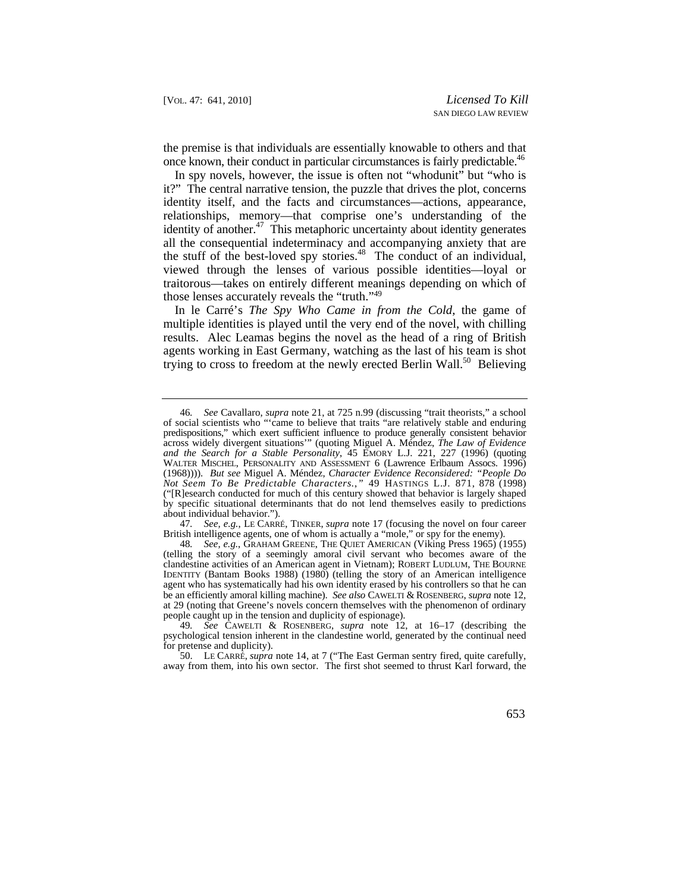the premise is that individuals are essentially knowable to others and that once known, their conduct in particular circumstances is fairly predictable.<sup>46</sup>

In spy novels, however, the issue is often not "whodunit" but "who is it?" The central narrative tension, the puzzle that drives the plot, concerns identity itself, and the facts and circumstances—actions, appearance, relationships, memory—that comprise one's understanding of the identity of another.<sup>47</sup> This metaphoric uncertainty about identity generates all the consequential indeterminacy and accompanying anxiety that are the stuff of the best-loved spy [stories.](https://stories.48)<sup>48</sup> The conduct of an individual, viewed through the lenses of various possible identities—loyal or traitorous—takes on entirely different meanings depending on which of those lenses accurately reveals the "truth."49

In le Carré's *The Spy Who Came in from the Cold*, the game of multiple identities is played until the very end of the novel, with chilling results. Alec Leamas begins the novel as the head of a ring of British agents working in East Germany, watching as the last of his team is shot trying to cross to freedom at the newly erected Berlin Wall.<sup>50</sup> Believing

47*. See, e.g.*, LE CARRÉ, TINKER, *supra* note 17 (focusing the novel on four career British intelligence agents, one of whom is actually a "mole," or spy for the enemy).

 predispositions," which exert sufficient influence to produce generally consistent behavior WALTER MISCHEL, PERSONALITY AND ASSESSMENT 6 (Lawrence Erlbaum Assocs. 1996)  *Not Seem To Be Predictable Characters.*,*"* 49 HASTINGS L.J. 871, 878 (1998) 46*. See* Cavallaro, *supra* note 21, at 725 n.99 (discussing "trait theorists," a school of social scientists who "'came to believe that traits "are relatively stable and enduring across widely divergent situations'" (quoting Miguel A. Méndez, *The Law of Evidence and the Search for a Stable Personality*, 45 EMORY L.J. 221, 227 (1996) (quoting (1968)))). *But see* Miguel A. Méndez, *Character Evidence Reconsidered: "People Do*  ("[R]esearch conducted for much of this century showed that behavior is largely shaped by specific situational determinants that do not lend themselves easily to predictions about individual behavior.").

 IDENTITY (Bantam Books 1988) (1980) (telling the story of an American intelligence be an efficiently amoral killing machine). *See also* CAWELTI & ROSENBERG, *supra* note 12, people caught up in the tension and duplicity of espionage). 48*. See, e.g.*, GRAHAM GREENE, THE QUIET AMERICAN (Viking Press 1965) (1955) (telling the story of a seemingly amoral civil servant who becomes aware of the clandestine activities of an American agent in Vietnam); ROBERT LUDLUM, THE BOURNE agent who has systematically had his own identity erased by his controllers so that he can at 29 (noting that Greene's novels concern themselves with the phenomenon of ordinary

<sup>49</sup>*. See* CAWELTI & ROSENBERG, *supra* note 12, at 16–17 (describing the psychological tension inherent in the clandestine world, generated by the continual need for pretense and duplicity).

 <sup>50.</sup> LE CARRÉ, *supra* note 14, at 7 ("The East German sentry fired, quite carefully, away from them, into his own sector. The first shot seemed to thrust Karl forward, the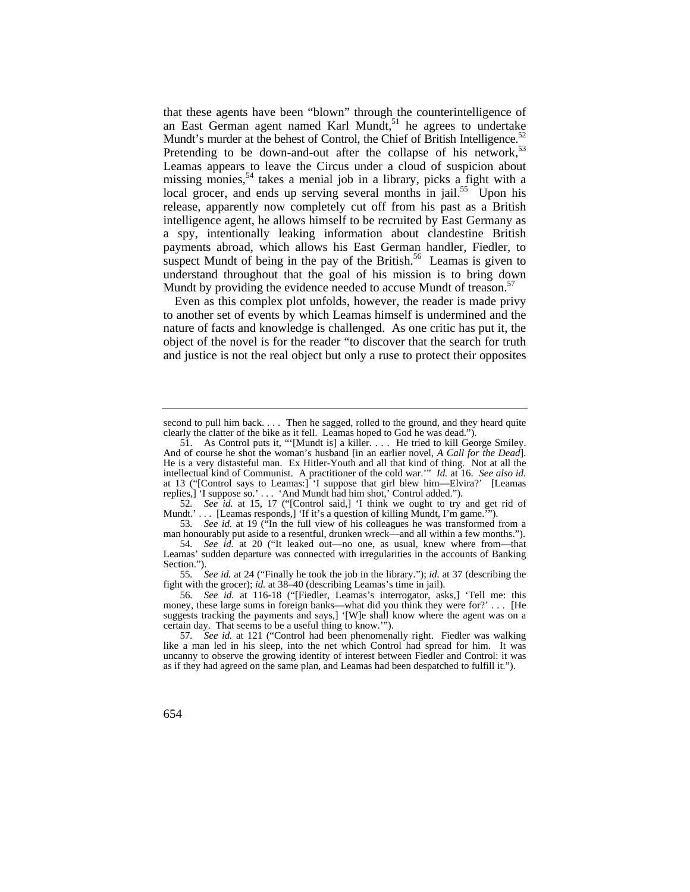Mundt's murder at the behest of Control, the Chief of British Intelligence.<sup>52</sup> that these agents have been "blown" through the counterintelligence of an East German agent named Karl Mundt, $51$  he agrees to undertake Pretending to be down-and-out after the collapse of his network,  $5<sup>3</sup>$ Leamas appears to leave the Circus under a cloud of suspicion about missing monies,<sup>54</sup> takes a menial job in a library, picks a fight with a local grocer, and ends up serving several months in jail.<sup>55</sup> Upon his release, apparently now completely cut off from his past as a British intelligence agent, he allows himself to be recruited by East Germany as a spy, intentionally leaking information about clandestine British payments abroad, which allows his East German handler, Fiedler, to suspect Mundt of being in the pay of the British.<sup>56</sup> Leamas is given to understand throughout that the goal of his mission is to bring down Mundt by providing the evidence needed to accuse Mundt of [treason.](https://treason.57)<sup>57</sup>

Even as this complex plot unfolds, however, the reader is made privy to another set of events by which Leamas himself is undermined and the nature of facts and knowledge is challenged. As one critic has put it, the object of the novel is for the reader "to discover that the search for truth and justice is not the real object but only a ruse to protect their opposites

 clearly the clatter of the bike as it fell. Leamas hoped to God he was dead."). second to pull him back. . . . Then he sagged, rolled to the ground, and they heard quite

 51. As Control puts it, "'[Mundt is] a killer. . . . He tried to kill George Smiley. And of course he shot the woman's husband [in an earlier novel, A Call for the Dead]. intellectual kind of Communist. A practitioner of the cold war.'" *Id.* at 16. *See also id.*  And of course he shot the woman's husband [in an earlier novel, *A Call for the Dead*]. He is a very distasteful man. Ex Hitler-Youth and all that kind of thing. Not at all the at 13 ("[Control says to Leamas:] 'I suppose that girl blew him—Elvira?' [Leamas replies,] 'I suppose so.' . . . 'And Mundt had him shot,' Control added.").

<sup>52</sup>*. See id.* at 15, 17 ("[Control said,] 'I think we ought to try and get rid of Mundt.' . . . [Leamas responds,] 'If it's a question of killing Mundt, I'm game.'").

<sup>53</sup>*. See id.* at 19 ("In the full view of his colleagues he was transformed from a man honourably put aside to a resentful, drunken wreck—and all within a few months.").

<sup>54</sup>*. See id.* at 20 ("It leaked out—no one, as usual, knew where from—that Leamas' sudden departure was connected with irregularities in the accounts of Banking Section.").

<sup>55</sup>*. See id.* at 24 ("Finally he took the job in the library."); *id.* at 37 (describing the fight with the grocer); *id.* at 38–40 (describing Leamas's time in jail).

 certain day. That seems to be a useful thing to know.'"). 56*. See id.* at 116-18 ("[Fiedler, Leamas's interrogator, asks,] 'Tell me: this money, these large sums in foreign banks—what did you think they were for?' . . . [He suggests tracking the payments and says,] '[W]e shall know where the agent was on a

<sup>57</sup>*. See id.* at 121 ("Control had been phenomenally right. Fiedler was walking like a man led in his sleep, into the net which Control had spread for him. It was uncanny to observe the growing identity of interest between Fiedler and Control: it was as if they had agreed on the same plan, and Leamas had been despatched to fulfill it.").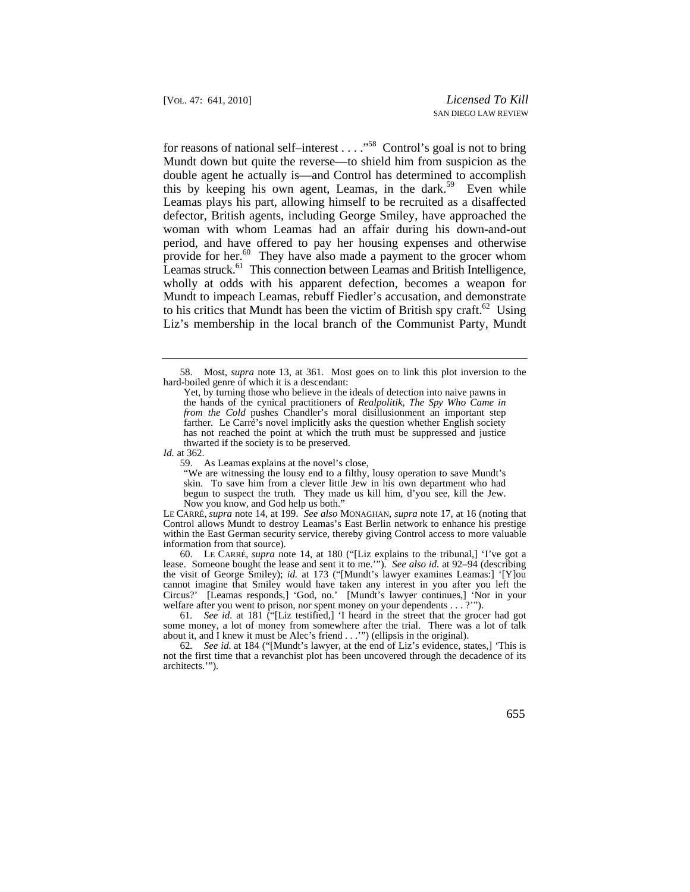Liz's membership in the local branch of the Communist Party, Mundt for reasons of national self–interest  $\dots$  ."<sup>58</sup> Control's goal is not to bring Mundt down but quite the reverse—to shield him from suspicion as the double agent he actually is—and Control has determined to accomplish this by keeping his own agent, Leamas, in the dark.<sup>59</sup> Even while Leamas plays his part, allowing himself to be recruited as a disaffected defector, British agents, including George Smiley, have approached the woman with whom Leamas had an affair during his down-and-out period, and have offered to pay her housing expenses and otherwise provide for her. $60$  They have also made a payment to the grocer whom Leamas struck.<sup>61</sup> This connection between Leamas and British Intelligence, wholly at odds with his apparent defection, becomes a weapon for Mundt to impeach Leamas, rebuff Fiedler's accusation, and demonstrate to his critics that Mundt has been the victim of British spy craft.<sup>62</sup> Using

59. As Leamas explains at the novel's close,

LE CARRÉ, *supra* note 14, at 199. *See also* MONAGHAN, *supra* note 17, at 16 (noting that Control allows Mundt to destroy Leamas's East Berlin network to enhance his prestige within the East German security service, thereby giving Control access to more valuable information from that source).

 60. LE CARRÉ, *supra* note 14, at 180 ("[Liz explains to the tribunal,] 'I've got a lease. Someone bought the lease and sent it to me.'"). *See also id.* at 92–94 (describing the visit of George Smiley); *id.* at 173 ("[Mundt's lawyer examines Leamas:] '[Y]ou cannot imagine that Smiley would have taken any interest in you after you left the Circus?' [Leamas responds,] 'God, no.' [Mundt's lawyer continues,] 'Nor in your welfare after you went to prison, nor spent money on your dependents . . . ?'").

61*. See id.* at 181 ("[Liz testified,] 'I heard in the street that the grocer had got some money, a lot of money from somewhere after the trial. There was a lot of talk about it, and I knew it must be Alec's friend . . .'") (ellipsis in the original).

62*. See id.* at 184 ("[Mundt's lawyer, at the end of Liz's evidence, states,] 'This is not the first time that a revanchist plot has been uncovered through the decadence of its architects.'").

 <sup>58.</sup> Most, *supra* note 13, at 361. Most goes on to link this plot inversion to the hard-boiled genre of which it is a descendant:

Yet, by turning those who believe in the ideals of detection into naive pawns in the hands of the cynical practitioners of *Realpolitik, The Spy Who Came in from the Cold* pushes Chandler's moral disillusionment an important step farther. Le Carré's novel implicitly asks the question whether English society has not reached the point at which the truth must be suppressed and justice thwarted if the society is to be preserved.

*Id.* at 362.

<sup>&</sup>quot;We are witnessing the lousy end to a filthy, lousy operation to save Mundt's skin. To save him from a clever little Jew in his own department who had begun to suspect the truth. They made us kill him, d'you see, kill the Jew. Now you know, and God help us both."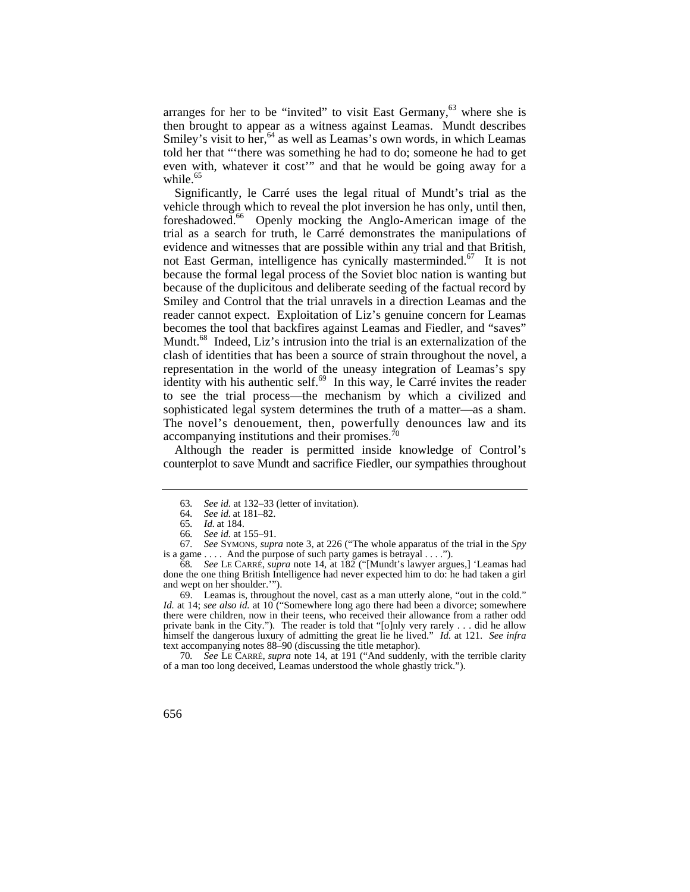arranges for her to be "invited" to visit East Germany, $63$  where she is then brought to appear as a witness against Leamas. Mundt describes Smiley's visit to her,<sup>64</sup> as well as Leamas's own words, in which Leamas told her that "'there was something he had to do; someone he had to get even with, whatever it cost'" and that he would be going away for a [while.](https://while.65)<sup>65</sup>

Significantly, le Carré uses the legal ritual of Mundt's trial as the vehicle through which to reveal the plot inversion he has only, until then, [foreshadowed.66](https://foreshadowed.66) Openly mocking the Anglo-American image of the trial as a search for truth, le Carré demonstrates the manipulations of evidence and witnesses that are possible within any trial and that British, not East German, intelligence has cynically [masterminded.](https://masterminded.67)<sup>67</sup> It is not because the formal legal process of the Soviet bloc nation is wanting but because of the duplicitous and deliberate seeding of the factual record by Smiley and Control that the trial unravels in a direction Leamas and the reader cannot expect. Exploitation of Liz's genuine concern for Leamas becomes the tool that backfires against Leamas and Fiedler, and "saves" Mundt.<sup>68</sup> Indeed, Liz's intrusion into the trial is an externalization of the clash of identities that has been a source of strain throughout the novel, a representation in the world of the uneasy integration of Leamas's spy identity with his authentic self.<sup>69</sup> In this way, le Carré invites the reader to see the trial process—the mechanism by which a civilized and sophisticated legal system determines the truth of a matter—as a sham. The novel's denouement, then, powerfully denounces law and its accompanying institutions and their [promises.70](https://promises.70) 

Although the reader is permitted inside knowledge of Control's counterplot to save Mundt and sacrifice Fiedler, our sympathies throughout

<sup>63</sup>*. See id.* at 132–33 (letter of invitation).

<sup>64</sup>*. See id.* at 181–82.

<sup>65</sup>*. Id.* at 184.

<sup>66</sup>*. See id.* at 155–91.

is a game  $\dots$ . And the purpose of such party games is betrayal  $\dots$ . 67*. See* SYMONS, *supra* note 3, at 226 ("The whole apparatus of the trial in the *Spy* 

<sup>68</sup>*. See* LE CARRÉ, *supra* note 14, at 182 ("[Mundt's lawyer argues,] 'Leamas had done the one thing British Intelligence had never expected him to do: he had taken a girl and wept on her shoulder.'").

<sup>69.</sup> Leamas is, throughout the novel, cast as a man utterly alone, "out in the cold." *Id.* at 14; *see also id.* at 10 ("Somewhere long ago there had been a divorce; somewhere there were children, now in their teens, who received their allowance from a rather odd private bank in the City."). The reader is told that "[o]nly very rarely . . . did he allow himself the dangerous luxury of admitting the great lie he lived." *Id.* at 121. *See infra*  text accompanying notes 88–90 (discussing the title metaphor).

<sup>70</sup>*. See* LE CARRÉ, *supra* note 14, at 191 ("And suddenly, with the terrible clarity of a man too long deceived, Leamas understood the whole ghastly trick.").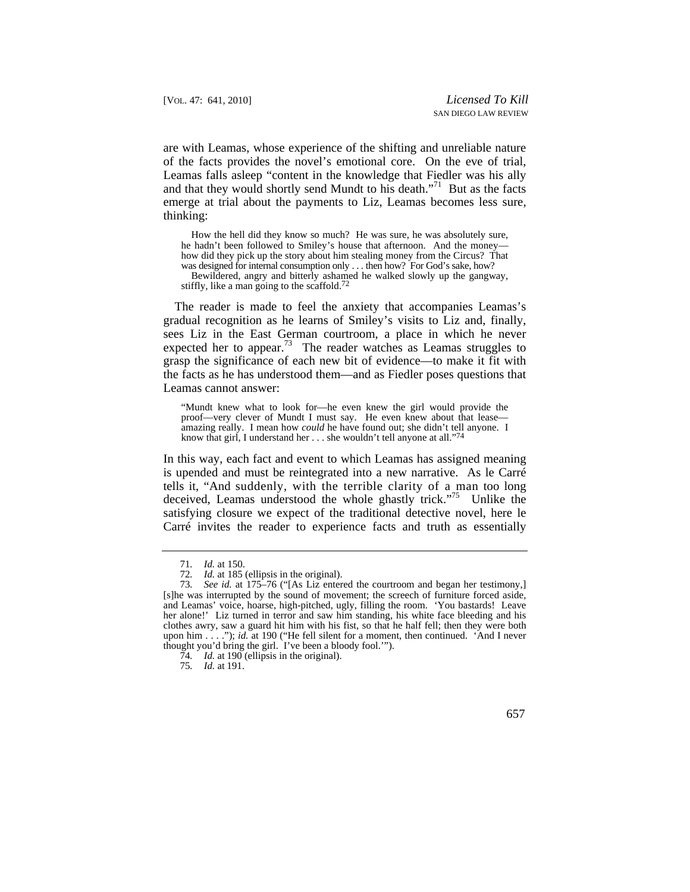are with Leamas, whose experience of the shifting and unreliable nature of the facts provides the novel's emotional core. On the eve of trial, Leamas falls asleep "content in the knowledge that Fiedler was his ally and that they would shortly send Mundt to his death."71 But as the facts emerge at trial about the payments to Liz, Leamas becomes less sure, thinking:

How the hell did they know so much? He was sure, he was absolutely sure, he hadn't been followed to Smiley's house that afternoon. And the money how did they pick up the story about him stealing money from the Circus? That was designed for internal consumption only . . . then how? For God's sake, how? Bewildered, angry and bitterly ashamed he walked slowly up the gangway, stiffly, like a man going to the scaffold.<sup>72</sup>

expected her to [appear.](https://appear.73)<sup>73</sup> The reader watches as Leamas struggles to The reader is made to feel the anxiety that accompanies Leamas's gradual recognition as he learns of Smiley's visits to Liz and, finally, sees Liz in the East German courtroom, a place in which he never grasp the significance of each new bit of evidence––to make it fit with the facts as he has understood them––and as Fiedler poses questions that Leamas cannot answer:

 amazing really. I mean how *could* he have found out; she didn't tell anyone. I "Mundt knew what to look for—he even knew the girl would provide the proof—very clever of Mundt I must say. He even knew about that lease know that girl, I understand her . . . she wouldn't tell anyone at all."<sup>74</sup>

 tells it, "And suddenly, with the terrible clarity of a man too long In this way, each fact and event to which Leamas has assigned meaning is upended and must be reintegrated into a new narrative. As le Carré deceived, Leamas understood the whole ghastly trick."<sup>75</sup> Unlike the satisfying closure we expect of the traditional detective novel, here le Carré invites the reader to experience facts and truth as essentially

<sup>71</sup>*. Id.* at 150.

<sup>72</sup>*. Id.* at 185 (ellipsis in the original).

<sup>73</sup>*. See id.* at 175–76 ("[As Liz entered the courtroom and began her testimony,] [s]he was interrupted by the sound of movement; the screech of furniture forced aside, and Leamas' voice, hoarse, high-pitched, ugly, filling the room. 'You bastards! Leave her alone!' Liz turned in terror and saw him standing, his white face bleeding and his clothes awry, saw a guard hit him with his fist, so that he half fell; then they were both upon him . . . ."); *id.* at 190 ("He fell silent for a moment, then continued. 'And I never thought you'd bring the girl. I've been a bloody fool.'").

<sup>74</sup>*. Id.* at 190 (ellipsis in the original).

<sup>75</sup>*. Id.* at 191.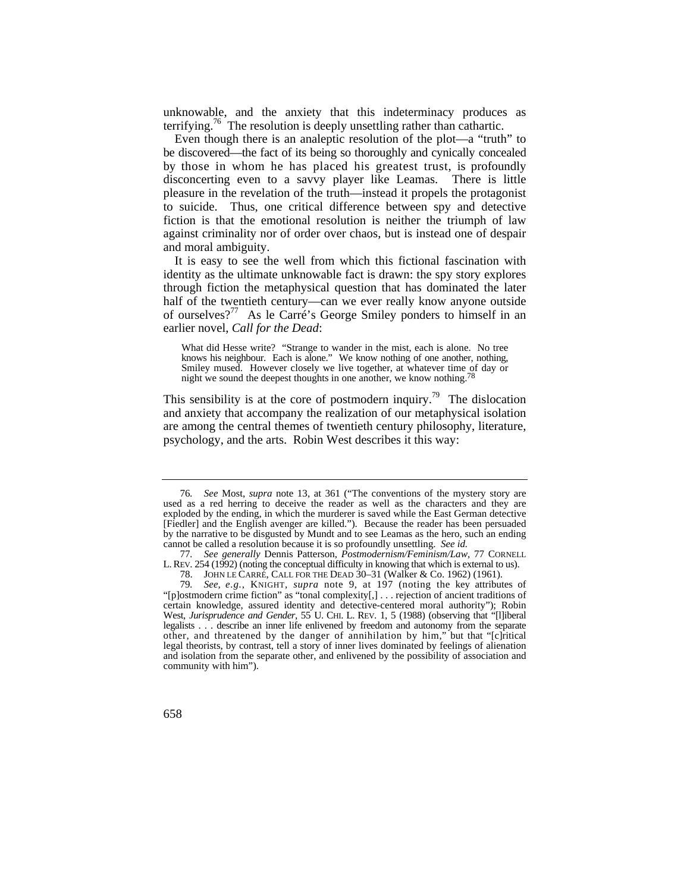unknowable, and the anxiety that this indeterminacy produces as [terrifying.76](https://terrifying.76) The resolution is deeply unsettling rather than cathartic.

 by those in whom he has placed his greatest trust, is profoundly Even though there is an analeptic resolution of the plot—a "truth" to be discovered—the fact of its being so thoroughly and cynically concealed disconcerting even to a savvy player like Leamas. There is little pleasure in the revelation of the truth—instead it propels the protagonist to suicide. Thus, one critical difference between spy and detective fiction is that the emotional resolution is neither the triumph of law against criminality nor of order over chaos, but is instead one of despair and moral ambiguity.

It is easy to see the well from which this fictional fascination with identity as the ultimate unknowable fact is drawn: the spy story explores through fiction the metaphysical question that has dominated the later half of the twentieth century—can we ever really know anyone outside of ourselves?<sup>77</sup> As le Carré's George Smiley ponders to himself in an earlier novel, *Call for the Dead*:

Smiley mused. However closely we live together, at whatever time of day or What did Hesse write? "Strange to wander in the mist, each is alone. No tree knows his neighbour. Each is alone." We know nothing of one another, nothing, night we sound the deepest thoughts in one another, we know nothing.<sup>78</sup>

This sensibility is at the core of postmodern inquiry.<sup>79</sup> The dislocation and anxiety that accompany the realization of our metaphysical isolation are among the central themes of twentieth century philosophy, literature, psychology, and the arts. Robin West describes it this way:

 cannot be called a resolution because it is so profoundly unsettling. *See id.*  76*. See* Most, *supra* note 13, at 361 ("The conventions of the mystery story are used as a red herring to deceive the reader as well as the characters and they are exploded by the ending, in which the murderer is saved while the East German detective [Fiedler] and the English avenger are killed."). Because the reader has been persuaded by the narrative to be disgusted by Mundt and to see Leamas as the hero, such an ending

 L. REV. 254 (1992) (noting the conceptual difficulty in knowing that which is external to us). 77*. See generally* Dennis Patterson, *Postmodernism/Feminism/Law*, 77 CORNELL

 <sup>78.</sup> JOHN LE CARRÉ, CALL FOR THE DEAD 30–31 (Walker & Co. 1962) (1961).

 79*. See, e.g.*, KNIGHT, *supra* note 9, at 197 (noting the key attributes of West, *Jurisprudence and Gender*, 55 U. CHI. L. REV. 1, 5 (1988) (observing that "[l]iberal legalists . . . describe an inner life enlivened by freedom and autonomy from the separate other, and threatened by the danger of annihilation by him," but that "[c]ritical "[p]ostmodern crime fiction" as "tonal complexity[,] . . . rejection of ancient traditions of certain knowledge, assured identity and detective-centered moral authority"); Robin legal theorists, by contrast, tell a story of inner lives dominated by feelings of alienation and isolation from the separate other, and enlivened by the possibility of association and community with him").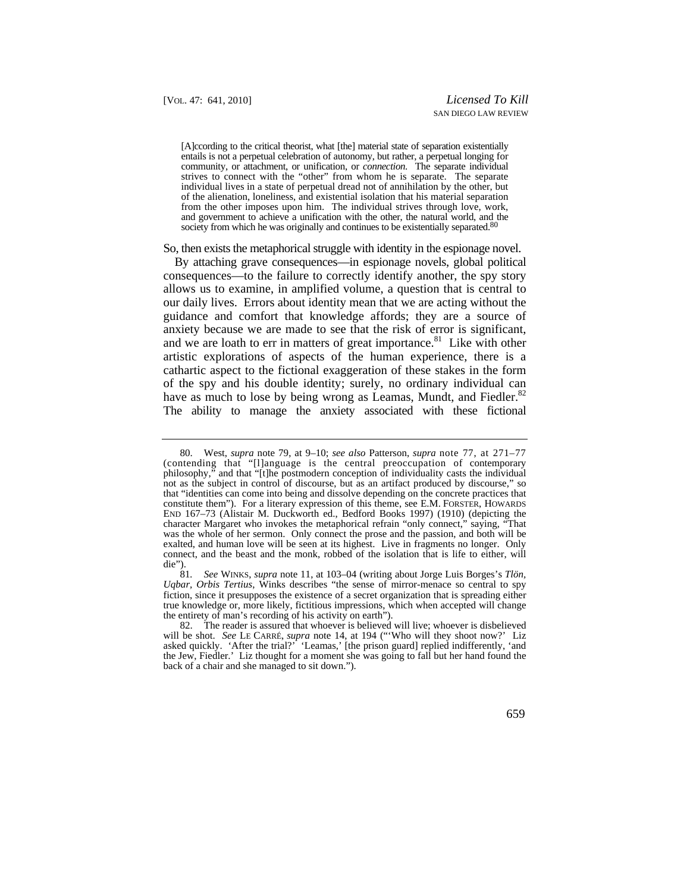entails is not a perpetual celebration of autonomy, but rather, a perpetual longing for community, or attachment, or unification, or *connection*. The separate individual [A]ccording to the critical theorist, what [the] material state of separation existentially strives to connect with the "other" from whom he is separate. The separate individual lives in a state of perpetual dread not of annihilation by the other, but of the alienation, loneliness, and existential isolation that his material separation from the other imposes upon him. The individual strives through love, work, and government to achieve a unification with the other, the natural world, and the society from which he was originally and continues to be existentially separated.<sup>80</sup>

#### So, then exists the metaphorical struggle with identity in the espionage novel.

By attaching grave consequences—in espionage novels, global political consequences—to the failure to correctly identify another, the spy story allows us to examine, in amplified volume, a question that is central to our daily lives. Errors about identity mean that we are acting without the guidance and comfort that knowledge affords; they are a source of anxiety because we are made to see that the risk of error is significant, and we are loath to err in matters of great importance.<sup>81</sup> Like with other artistic explorations of aspects of the human experience, there is a cathartic aspect to the fictional exaggeration of these stakes in the form of the spy and his double identity; surely, no ordinary individual can have as much to lose by being wrong as Leamas, Mundt, and Fiedler.<sup>82</sup> The ability to manage the anxiety associated with these fictional

 <sup>80.</sup> West, *supra* note 79, at 9–10; *see also* Patterson, *supra* note 77, at 271–77 (contending that "[l]anguage is the central preoccupation of contemporary philosophy," and that "[t]he postmodern conception of individuality casts the individual not as the subject in control of discourse, but as an artifact produced by discourse," so that "identities can come into being and dissolve depending on the concrete practices that constitute them"). For a literary expression of this theme, see E.M. FORSTER, HOWARDS END 167–73 (Alistair M. Duckworth ed., Bedford Books 1997) (1910) (depicting the character Margaret who invokes the metaphorical refrain "only connect," saying, "That was the whole of her sermon. Only connect the prose and the passion, and both will be exalted, and human love will be seen at its highest. Live in fragments no longer. Only connect, and the beast and the monk, robbed of the isolation that is life to either, will die").

<sup>81</sup>*. See* WINKS, *supra* note 11, at 103–04 (writing about Jorge Luis Borges's *Tlön, Uqbar, Orbis Tertius*, Winks describes "the sense of mirror-menace so central to spy fiction, since it presupposes the existence of a secret organization that is spreading either true knowledge or, more likely, fictitious impressions, which when accepted will change the entirety of man's recording of his activity on earth").

<sup>82.</sup> The reader is assured that whoever is believed will live; whoever is disbelieved will be shot. *See* LE CARRÉ, *supra* note 14, at 194 ("'Who will they shoot now?' Liz asked quickly. 'After the trial?' 'Leamas,' [the prison guard] replied indifferently, 'and the Jew, Fiedler.' Liz thought for a moment she was going to fall but her hand found the back of a chair and she managed to sit down.").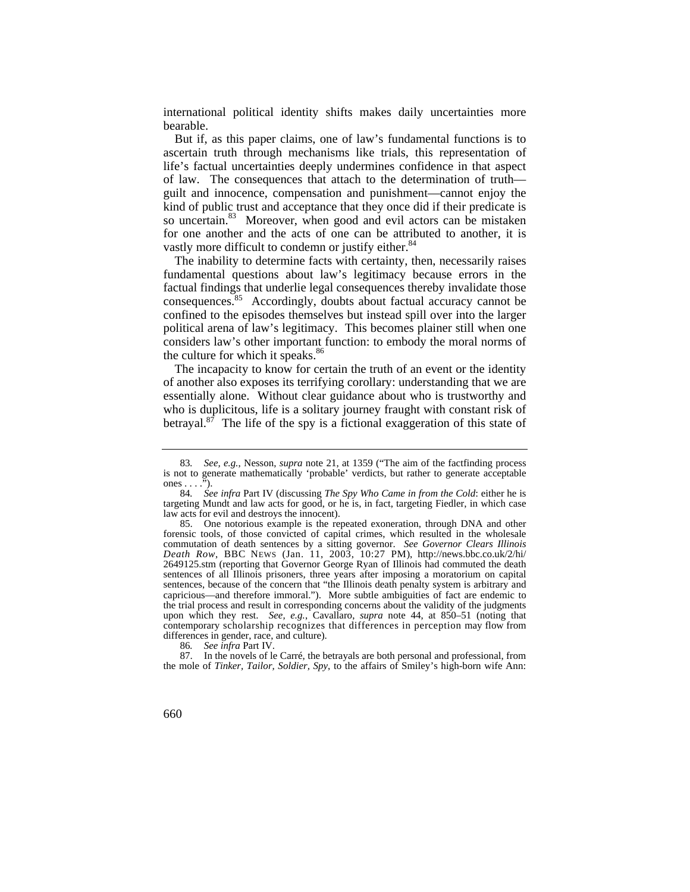international political identity shifts makes daily uncertainties more bearable.

But if, as this paper claims, one of law's fundamental functions is to ascertain truth through mechanisms like trials, this representation of life's factual uncertainties deeply undermines confidence in that aspect of law. The consequences that attach to the determination of truth guilt and innocence, compensation and punishment—cannot enjoy the kind of public trust and acceptance that they once did if their predicate is so [uncertain.](https://uncertain.83)<sup>83</sup> Moreover, when good and evil actors can be mistaken for one another and the acts of one can be attributed to another, it is vastly more difficult to condemn or justify either.<sup>84</sup>

The inability to determine facts with certainty, then, necessarily raises fundamental questions about law's legitimacy because errors in the factual findings that underlie legal consequences thereby invalidate those [consequences.85](https://consequences.85) Accordingly, doubts about factual accuracy cannot be confined to the episodes themselves but instead spill over into the larger political arena of law's legitimacy. This becomes plainer still when one considers law's other important function: to embody the moral norms of the culture for which it speaks.<sup>86</sup>

The incapacity to know for certain the truth of an event or the identity of another also exposes its terrifying corollary: understanding that we are essentially alone. Without clear guidance about who is trustworthy and who is duplicitous, life is a solitary journey fraught with constant risk of betrayal. $8^{\overline{7}}$  The life of the spy is a fictional exaggeration of this state of

<sup>83</sup>*. See, e.g.*, Nesson, *supra* note 21, at 1359 ("The aim of the factfinding process is not to generate mathematically 'probable' verdicts, but rather to generate acceptable ones  $\dots$ .").

 law acts for evil and destroys the innocent). 84*. See infra* Part IV (discussing *The Spy Who Came in from the Cold*: either he is targeting Mundt and law acts for good, or he is, in fact, targeting Fiedler, in which case

 *Death Row*, BBC NEWS (Jan. 11, 2003, 10:27 PM), [http://news.bbc.co.uk/2/hi/](http://news.bbc.co.uk/2/hi) contemporary scholarship recognizes that differences in perception may flow from 85. One notorious example is the repeated exoneration, through DNA and other forensic tools, of those convicted of capital crimes, which resulted in the wholesale commutation of death sentences by a sitting governor. *See Governor Clears Illinois*  2649125.stm (reporting that Governor George Ryan of Illinois had commuted the death sentences of all Illinois prisoners, three years after imposing a moratorium on capital sentences, because of the concern that "the Illinois death penalty system is arbitrary and capricious—and therefore immoral."). More subtle ambiguities of fact are endemic to the trial process and result in corresponding concerns about the validity of the judgments upon which they rest. *See, e.g.*, Cavallaro, *supra* note 44, at 850–51 (noting that differences in gender, race, and culture).

<sup>86</sup>*. See infra* Part IV.

<sup>87.</sup> In the novels of le Carré, the betrayals are both personal and professional, from the mole of *Tinker, Tailor, Soldier, Spy*, to the affairs of Smiley's high-born wife Ann: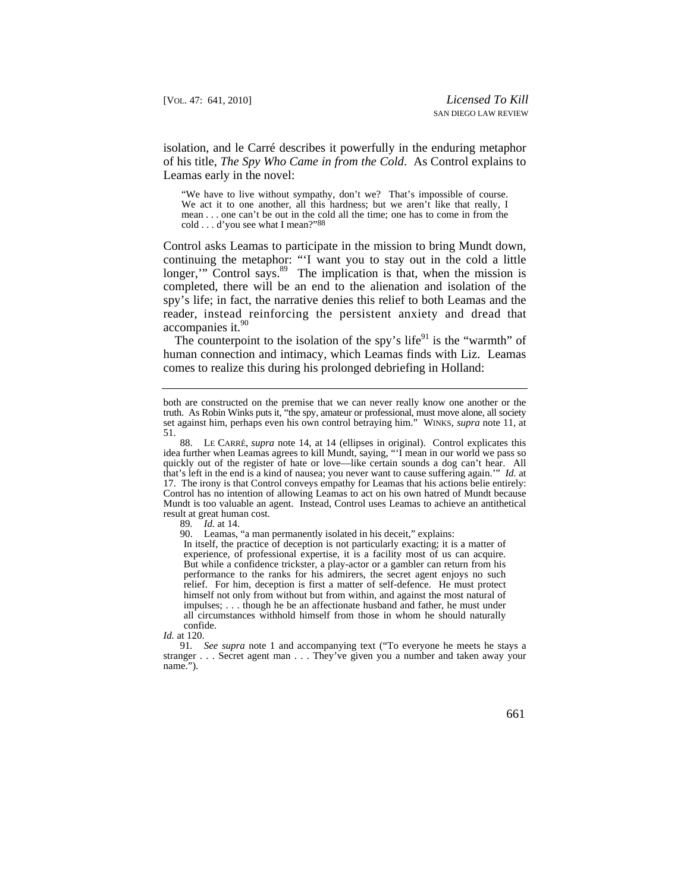isolation, and le Carré describes it powerfully in the enduring metaphor of his title, *The Spy Who Came in from the Cold*. As Control explains to Leamas early in the novel:

 mean . . . one can't be out in the cold all the time; one has to come in from the "We have to live without sympathy, don't we? That's impossible of course. We act it to one another, all this hardness; but we aren't like that really, I cold . . . d'you see what I mean?"88

 continuing the metaphor: "'I want you to stay out in the cold a little longer," Control says.<sup>89</sup> The implication is that, when the mission is Control asks Leamas to participate in the mission to bring Mundt down, completed, there will be an end to the alienation and isolation of the spy's life; in fact, the narrative denies this relief to both Leamas and the reader, instead reinforcing the persistent anxiety and dread that  $accomparies it.<sup>90</sup>$ 

The counterpoint to the isolation of the spy's life<sup>91</sup> is the "warmth" of human connection and intimacy, which Leamas finds with Liz. Leamas comes to realize this during his prolonged debriefing in Holland:

89*. Id.* at 14.

90. Leamas, "a man permanently isolated in his deceit," explains:

In itself, the practice of deception is not particularly exacting; it is a matter of experience, of professional expertise, it is a facility most of us can acquire. But while a confidence trickster, a play-actor or a gambler can return from his performance to the ranks for his admirers, the secret agent enjoys no such relief. For him, deception is first a matter of self-defence. He must protect himself not only from without but from within, and against the most natural of impulses; . . . though he be an affectionate husband and father, he must under all circumstances withhold himself from those in whom he should naturally confide.

*Id.* at 120.

 stranger . . . Secret agent man . . . They've given you a number and taken away your 91*. See supra* note 1 and accompanying text ("To everyone he meets he stays a name.").

 truth. As Robin Winks puts it, "the spy, amateur or professional, must move alone, all society both are constructed on the premise that we can never really know one another or the set against him, perhaps even his own control betraying him." WINKS, *supra* note 11, at 51.

 that's left in the end is a kind of nausea; you never want to cause suffering again.'" *Id.* at 88. LE CARRÉ, *supra* note 14, at 14 (ellipses in original). Control explicates this idea further when Leamas agrees to kill Mundt, saying, "'I mean in our world we pass so quickly out of the register of hate or love—like certain sounds a dog can't hear. All 17. The irony is that Control conveys empathy for Leamas that his actions belie entirely: Control has no intention of allowing Leamas to act on his own hatred of Mundt because Mundt is too valuable an agent. Instead, Control uses Leamas to achieve an antithetical result at great human cost.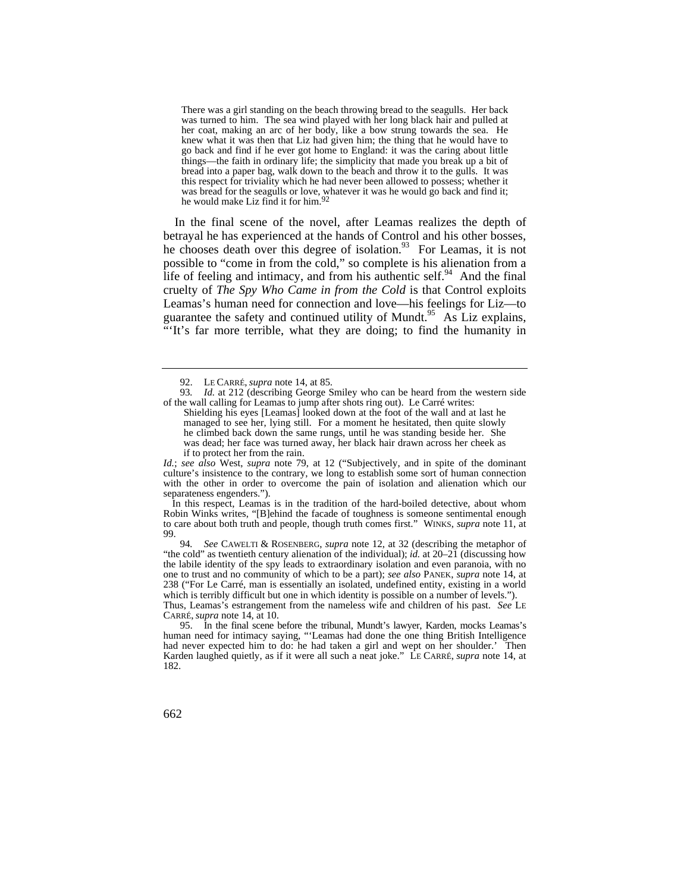There was a girl standing on the beach throwing bread to the seagulls. Her back was turned to him. The sea wind played with her long black hair and pulled at her coat, making an arc of her body, like a bow strung towards the sea. He knew what it was then that Liz had given him; the thing that he would have to go back and find if he ever got home to England: it was the caring about little things—the faith in ordinary life; the simplicity that made you break up a bit of bread into a paper bag, walk down to the beach and throw it to the gulls. It was this respect for triviality which he had never been allowed to possess; whether it was bread for the seagulls or love, whatever it was he would go back and find it; he would make Liz find it for him.92

In the final scene of the novel, after Leamas realizes the depth of betrayal he has experienced at the hands of Control and his other bosses, he chooses death over this degree of isolation.<sup>93</sup> For Leamas, it is not possible to "come in from the cold," so complete is his alienation from a life of feeling and intimacy, and from his authentic self.<sup>94</sup> And the final cruelty of *The Spy Who Came in from the Cold* is that Control exploits Leamas's human need for connection and love—his feelings for Liz—to guarantee the safety and continued utility of Mundt.<sup>95</sup> As Liz explains, "'It's far more terrible, what they are doing; to find the humanity in

*Id.*; *see also* West, *supra* note 79, at 12 ("Subjectively, and in spite of the dominant culture's insistence to the contrary, we long to establish some sort of human connection with the other in order to overcome the pain of isolation and alienation which our separateness engenders.").

In this respect, Leamas is in the tradition of the hard-boiled detective, about whom Robin Winks writes, "[B]ehind the facade of toughness is someone sentimental enough to care about both truth and people, though truth comes first." WINKS, *supra* note 11, at 99.

94*. See* CAWELTI & ROSENBERG, *supra* note 12, at 32 (describing the metaphor of "the cold" as twentieth century alienation of the individual); *id.* at 20–21 (discussing how the labile identity of the spy leads to extraordinary isolation and even paranoia, with no one to trust and no community of which to be a part); *see also* PANEK, *supra* note 14, at 238 ("For Le Carré, man is essentially an isolated, undefined entity, existing in a world which is terribly difficult but one in which identity is possible on a number of levels."). Thus, Leamas's estrangement from the nameless wife and children of his past. *See* LE

CARRÉ, *supra* note 14, at 10. 95. In the final scene before the tribunal, Mundt's lawyer, Karden, mocks Leamas's human need for intimacy saying, "'Leamas had done the one thing British Intelligence had never expected him to do: he had taken a girl and wept on her shoulder.' Then Karden laughed quietly, as if it were all such a neat joke." LE CARRÉ, *supra* note 14, at 182.

 <sup>92.</sup> LE CARRÉ, *supra* note 14, at 85.

<sup>93</sup>*. Id.* at 212 (describing George Smiley who can be heard from the western side of the wall calling for Leamas to jump after shots ring out). Le Carré writes:

 managed to see her, lying still. For a moment he hesitated, then quite slowly Shielding his eyes [Leamas] looked down at the foot of the wall and at last he he climbed back down the same rungs, until he was standing beside her. She was dead; her face was turned away, her black hair drawn across her cheek as if to protect her from the rain.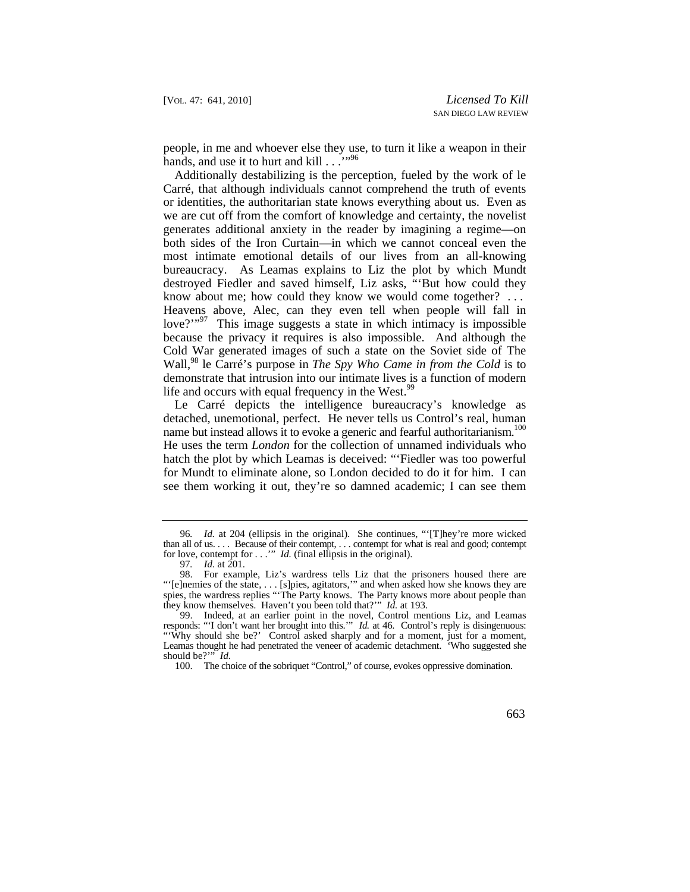people, in me and whoever else they use, to turn it like a weapon in their hands, and use it to hurt and kill . . .<sup>'</sup>"<sup>96</sup>

Additionally destabilizing is the perception, fueled by the work of le Carré, that although individuals cannot comprehend the truth of events or identities, the authoritarian state knows everything about us. Even as we are cut off from the comfort of knowledge and certainty, the novelist generates additional anxiety in the reader by imagining a regime—on both sides of the Iron Curtain—in which we cannot conceal even the most intimate emotional details of our lives from an all-knowing bureaucracy. As Leamas explains to Liz the plot by which Mundt destroyed Fiedler and saved himself, Liz asks, "'But how could they know about me; how could they know we would come together? . . . Heavens above, Alec, can they even tell when people will fall in love?"<sup>97</sup> This image suggests a state in which intimacy is impossible because the privacy it requires is also impossible. And although the Cold War generated images of such a state on the Soviet side of The Wall,98 le Carré's purpose in *The Spy Who Came in from the Cold* is to demonstrate that intrusion into our intimate lives is a function of modern life and occurs with equal frequency in the West.<sup>99</sup>

name but instead allows it to evoke a generic and fearful authoritarianism.<sup>100</sup> Le Carré depicts the intelligence bureaucracy's knowledge as detached, unemotional, perfect. He never tells us Control's real, human He uses the term *London* for the collection of unnamed individuals who hatch the plot by which Leamas is deceived: "'Fiedler was too powerful for Mundt to eliminate alone, so London decided to do it for him. I can see them working it out, they're so damned academic; I can see them

for love, contempt for . . .'" *Id.* (final ellipsis in the original). 96*. Id.* at 204 (ellipsis in the original). She continues, "'[T]hey're more wicked than all of us. . . . Because of their contempt, . . . contempt for what is real and good; contempt

<sup>97</sup>*. Id.* at 201.

<sup>98.</sup> For example, Liz's wardress tells Liz that the prisoners housed there are "'[e]nemies of the state, . . . [s]pies, agitators,'" and when asked how she knows they are spies, the wardress replies "The Party knows. The Party knows more about people than they know themselves. Haven't you been told that?'" *Id.* at 193.

<sup>99.</sup> Indeed, at an earlier point in the novel, Control mentions Liz, and Leamas responds: "'I don't want her brought into this.'" *Id.* at 46. Control's reply is disingenuous: "'Why should she be?' Control asked sharply and for a moment, just for a moment, Leamas thought he had penetrated the veneer of academic detachment. 'Who suggested she should be?'" *Id.* 

<sup>100.</sup> The choice of the sobriquet "Control," of course, evokes oppressive domination.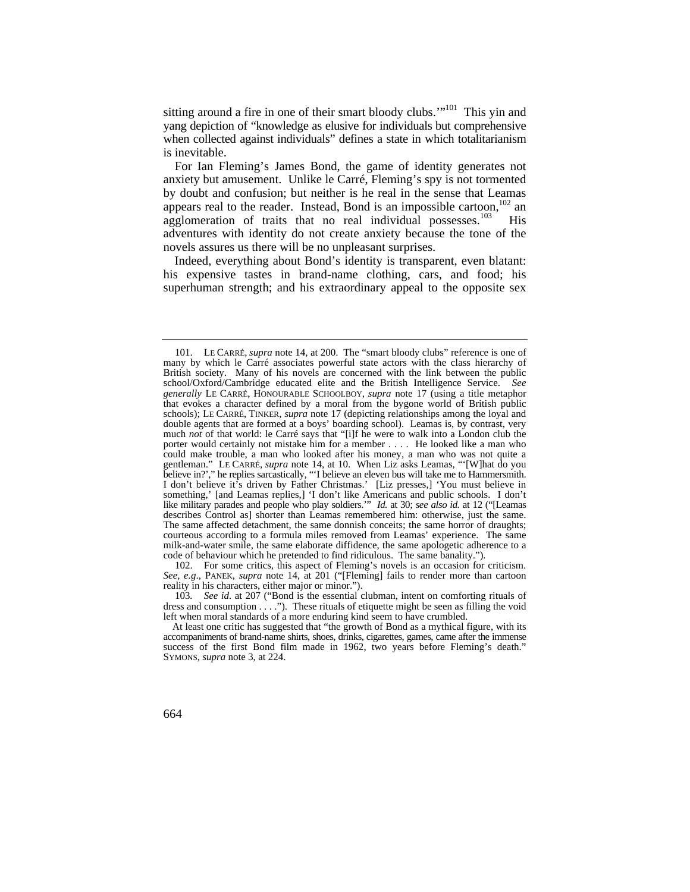sitting around a fire in one of their smart bloody clubs.'"<sup>101</sup> This vin and yang depiction of "knowledge as elusive for individuals but comprehensive when collected against individuals" defines a state in which totalitarianism is inevitable.

For Ian Fleming's James Bond, the game of identity generates not anxiety but amusement. Unlike le Carré, Fleming's spy is not tormented by doubt and confusion; but neither is he real in the sense that Leamas appears real to the reader. Instead, Bond is an impossible cartoon, $102$  an agglomeration of traits that no real individual possesses.<sup>103</sup> His adventures with identity do not create anxiety because the tone of the novels assures us there will be no unpleasant surprises.

Indeed, everything about Bond's identity is transparent, even blatant: his expensive tastes in brand-name clothing, cars, and food; his superhuman strength; and his extraordinary appeal to the opposite sex

 school/Oxford/Cambridge educated elite and the British Intelligence Service. *See*  like military parades and people who play soldiers.'" *Id.* at 30; *see also id.* at 12 ("[Leamas describes Control as] shorter than Leamas remembered him: otherwise, just the same. 101. LE CARRÉ, *supra* note 14, at 200. The "smart bloody clubs" reference is one of many by which le Carré associates powerful state actors with the class hierarchy of British society. Many of his novels are concerned with the link between the public *generally* LE CARRÉ, HONOURABLE SCHOOLBOY, *supra* note 17 (using a title metaphor that evokes a character defined by a moral from the bygone world of British public schools); LE CARRÉ, TINKER, *supra* note 17 (depicting relationships among the loyal and double agents that are formed at a boys' boarding school). Leamas is, by contrast, very much *not* of that world: le Carré says that "[i]f he were to walk into a London club the porter would certainly not mistake him for a member . . . . He looked like a man who could make trouble, a man who looked after his money, a man who was not quite a gentleman." LE CARRÉ, *supra* note 14, at 10. When Liz asks Leamas, "'[W]hat do you believe in?'," he replies sarcastically, "'I believe an eleven bus will take me to Hammersmith. I don't believe it's driven by Father Christmas.' [Liz presses,] 'You must believe in something,' [and Leamas replies,] 'I don't like Americans and public schools. I don't The same affected detachment, the same donnish conceits; the same horror of draughts; courteous according to a formula miles removed from Leamas' experience. The same milk-and-water smile, the same elaborate diffidence, the same apologetic adherence to a code of behaviour which he pretended to find ridiculous. The same banality.").

<sup>102.</sup> For some critics, this aspect of Fleming's novels is an occasion for criticism. See, e.g., PANEK, *supra* note 14, at 201 ("[Fleming] fails to render more than cartoon reality in his characters, either major or minor.").

<sup>103</sup>*. See id.* at 207 ("Bond is the essential clubman, intent on comforting rituals of dress and consumption . . . ."). These rituals of etiquette might be seen as filling the void left when moral standards of a more enduring kind seem to have crumbled.

At least one critic has suggested that "the growth of Bond as a mythical figure, with its accompaniments of brand-name shirts, shoes, drinks, cigarettes, games, came after the immense success of the first Bond film made in 1962, two years before Fleming's death." SYMONS, *supra* note 3, at 224.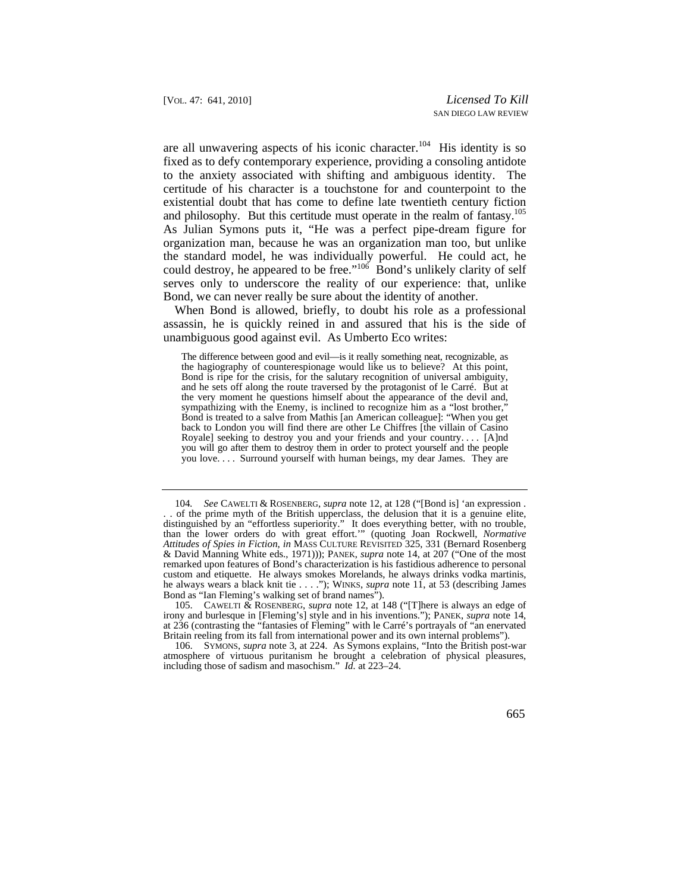and philosophy. But this certitude must operate in the realm of fantasy.<sup>105</sup> could destroy, he appeared to be free."<sup>106</sup> Bond's unlikely clarity of self Bond, we can never really be sure about the identity of another. are all unwavering aspects of his iconic character.<sup>104</sup> His identity is so fixed as to defy contemporary experience, providing a consoling antidote to the anxiety associated with shifting and ambiguous identity. The certitude of his character is a touchstone for and counterpoint to the existential doubt that has come to define late twentieth century fiction As Julian Symons puts it, "He was a perfect pipe-dream figure for organization man, because he was an organization man too, but unlike the standard model, he was individually powerful. He could act, he serves only to underscore the reality of our experience: that, unlike

When Bond is allowed, briefly, to doubt his role as a professional assassin, he is quickly reined in and assured that his is the side of unambiguous good against evil. As Umberto Eco writes:

 The difference between good and evil—is it really something neat, recognizable, as you will go after them to destroy them in order to protect yourself and the people the hagiography of counterespionage would like us to believe? At this point, Bond is ripe for the crisis, for the salutary recognition of universal ambiguity, and he sets off along the route traversed by the protagonist of le Carré. But at the very moment he questions himself about the appearance of the devil and, sympathizing with the Enemy, is inclined to recognize him as a "lost brother," Bond is treated to a salve from Mathis [an American colleague]: "When you get back to London you will find there are other Le Chiffres [the villain of Casino Royale] seeking to destroy you and your friends and your country. . . . [A]nd you love. . . . Surround yourself with human beings, my dear James. They are

<sup>104</sup>*. See* CAWELTI & ROSENBERG, *supra* note 12, at 128 ("[Bond is] 'an expression . . . of the prime myth of the British upperclass, the delusion that it is a genuine elite, distinguished by an "effortless superiority." It does everything better, with no trouble, than the lower orders do with great effort.'" (quoting Joan Rockwell, *Normative Attitudes of Spies in Fiction*, *in* MASS CULTURE REVISITED 325, 331 (Bernard Rosenberg & David Manning White eds., 1971))); PANEK, *supra* note 14, at 207 ("One of the most remarked upon features of Bond's characterization is his fastidious adherence to personal custom and etiquette. He always smokes Morelands, he always drinks vodka martinis, he always wears a black knit tie . . . ."); WINKS, *supra* note 11, at 53 (describing James Bond as "Ian Fleming's walking set of brand names").

 <sup>105.</sup> CAWELTI & ROSENBERG, *supra* note 12, at 148 ("[T]here is always an edge of irony and burlesque in [Fleming's] style and in his inventions."); PANEK, *supra* note 14, at 236 (contrasting the "fantasies of Fleming" with le Carré's portrayals of "an enervated Britain reeling from its fall from international power and its own internal problems").

 <sup>106.</sup> SYMONS, *supra* note 3, at 224. As Symons explains, "Into the British post-war atmosphere of virtuous puritanism he brought a celebration of physical pleasures, including those of sadism and masochism." *Id.* at 223–24.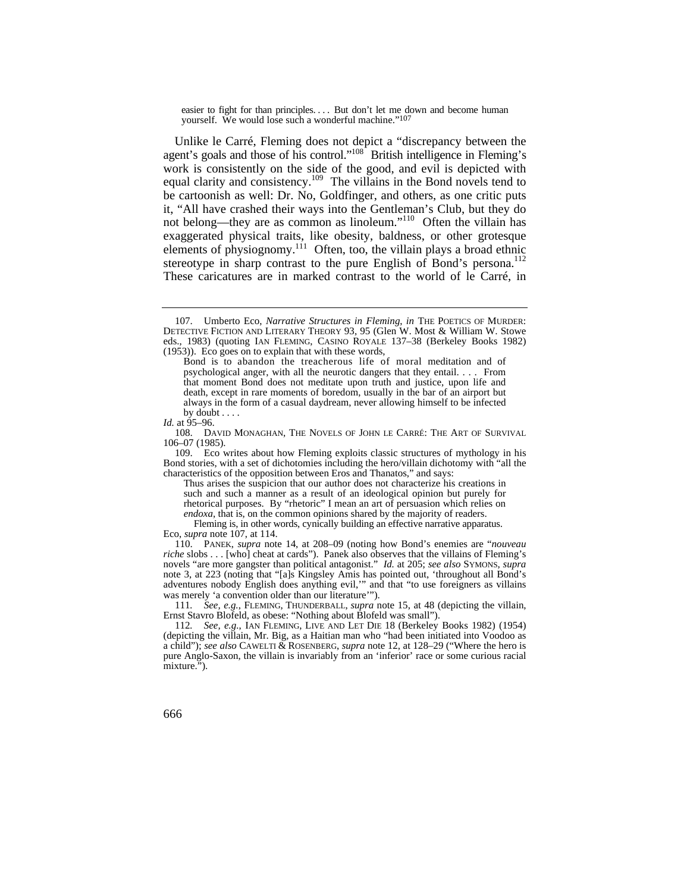easier to fight for than principles.... But don't let me down and become human yourself. We would lose such a wonderful machine."<sup>107</sup>

 agent's goals and those of his control."108 British intelligence in Fleming's stereotype in sharp contrast to the pure English of Bond's persona.<sup>112</sup> Unlike le Carré, Fleming does not depict a "discrepancy between the work is consistently on the side of the good, and evil is depicted with equal clarity and consistency.109 The villains in the Bond novels tend to be cartoonish as well: Dr. No, Goldfinger, and others, as one critic puts it, "All have crashed their ways into the Gentleman's Club, but they do not belong—they are as common as linoleum."110 Often the villain has exaggerated physical traits, like obesity, baldness, or other grotesque elements of physiognomy.<sup>111</sup> Often, too, the villain plays a broad ethnic These caricatures are in marked contrast to the world of le Carré, in

Thus arises the suspicion that our author does not characterize his creations in such and such a manner as a result of an ideological opinion but purely for rhetorical purposes. By "rhetoric" I mean an art of persuasion which relies on *endoxa*, that is, on the common opinions shared by the majority of readers.

Fleming is, in other words, cynically building an effective narrative apparatus. Eco, *supra* note 107, at 114.

 110. PANEK, *supra* note 14, at 208–09 (noting how Bond's enemies are "*nouveau riche* slobs . . . [who] cheat at cards"). Panek also observes that the villains of Fleming's novels "are more gangster than political antagonist." *Id.* at 205; *see also* SYMONS, *supra* note 3, at 223 (noting that "[a]s Kingsley Amis has pointed out, 'throughout all Bond's adventures nobody English does anything evil,'" and that "to use foreigners as villains was merely 'a convention older than our literature'").

111*. See, e.g.*, FLEMING, THUNDERBALL, *supra* note 15, at 48 (depicting the villain, Ernst Stavro Blofeld, as obese: "Nothing about Blofeld was small").

112*. See, e.g.*, IAN FLEMING, LIVE AND LET DIE 18 (Berkeley Books 1982) (1954) (depicting the villain, Mr. Big, as a Haitian man who "had been initiated into Voodoo as a child"); *see also* CAWELTI & ROSENBERG, *supra* note 12, at 128–29 ("Where the hero is pure Anglo-Saxon, the villain is invariably from an 'inferior' race or some curious racial mixture.").

 DETECTIVE FICTION AND LITERARY THEORY 93, 95 (Glen W. Most & William W. Stowe 107. Umberto Eco, *Narrative Structures in Fleming*, *in* THE POETICS OF MURDER: eds., 1983) (quoting IAN FLEMING, CASINO ROYALE 137–38 (Berkeley Books 1982) (1953)). Eco goes on to explain that with these words,

 Bond is to abandon the treacherous life of moral meditation and of psychological anger, with all the neurotic dangers that they entail. . . . From that moment Bond does not meditate upon truth and justice, upon life and death, except in rare moments of boredom, usually in the bar of an airport but always in the form of a casual daydream, never allowing himself to be infected by doubt  $\ldots$ 

*Id.* at  $95-96$ .

 <sup>108.</sup> DAVID MONAGHAN, THE NOVELS OF JOHN LE CARRÉ: THE ART OF SURVIVAL 106–07 (1985).

<sup>109.</sup> Eco writes about how Fleming exploits classic structures of mythology in his Bond stories, with a set of dichotomies including the hero/villain dichotomy with "all the characteristics of the opposition between Eros and Thanatos," and says: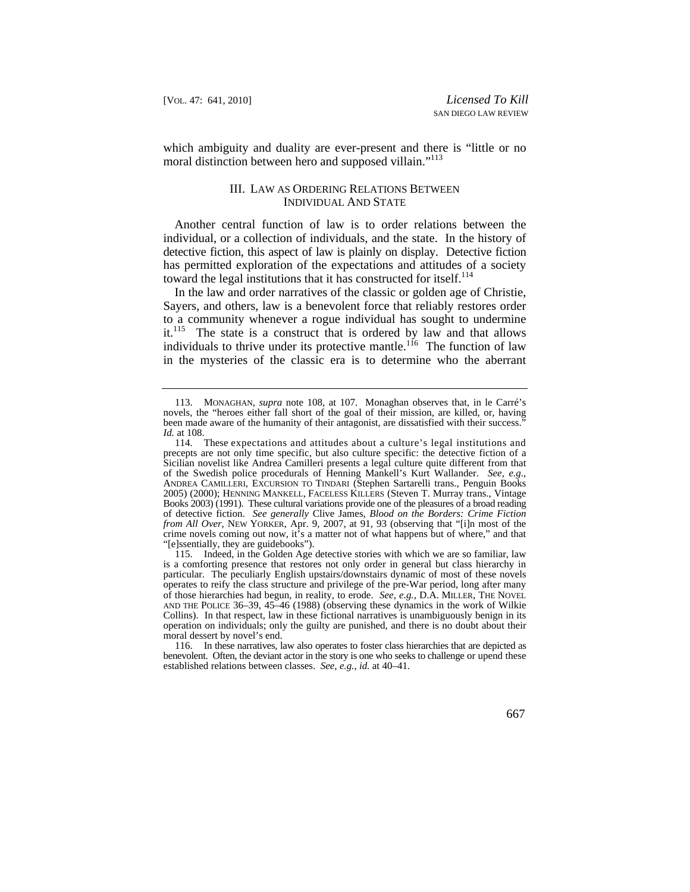which ambiguity and duality are ever-present and there is "little or no moral distinction between hero and supposed villain."<sup>113</sup>

## III. LAW AS ORDERING RELATIONS BETWEEN INDIVIDUAL AND STATE

Another central function of law is to order relations between the individual, or a collection of individuals, and the state. In the history of detective fiction, this aspect of law is plainly on display. Detective fiction has permitted exploration of the expectations and attitudes of a society toward the legal institutions that it has constructed for itself.<sup>114</sup>

In the law and order narratives of the classic or golden age of Christie, Sayers, and others, law is a benevolent force that reliably restores order to a community whenever a rogue individual has sought to undermine it.<sup>115</sup> The state is a construct that is ordered by law and that allows individuals to thrive under its protective mantle.<sup>116</sup> The function of law in the mysteries of the classic era is to determine who the aberrant

 <sup>113.</sup> MONAGHAN, *supra* note 108, at 107. Monaghan observes that, in le Carré's novels, the "heroes either fall short of the goal of their mission, are killed, or, having been made aware of the humanity of their antagonist, are dissatisfied with their success.<sup>"</sup> *Id.* at 108.

 114. These expectations and attitudes about a culture's legal institutions and of the Swedish police procedurals of Henning Mankell's Kurt Wallander. *See, e.g.*, precepts are not only time specific, but also culture specific: the detective fiction of a Sicilian novelist like Andrea Camilleri presents a legal culture quite different from that ANDREA CAMILLERI, EXCURSION TO TINDARI (Stephen Sartarelli trans., Penguin Books 2005) (2000); HENNING MANKELL, FACELESS KILLERS (Steven T. Murray trans., Vintage Books 2003) (1991). These cultural variations provide one of the pleasures of a broad reading of detective fiction. *See generally* Clive James, *Blood on the Borders: Crime Fiction from All Over*, NEW YORKER, Apr. 9, 2007, at 91, 93 (observing that "[i]n most of the crime novels coming out now, it's a matter not of what happens but of where," and that "[e]ssentially, they are guidebooks").

<sup>115.</sup> Indeed, in the Golden Age detective stories with which we are so familiar, law is a comforting presence that restores not only order in general but class hierarchy in particular. The peculiarly English upstairs/downstairs dynamic of most of these novels operates to reify the class structure and privilege of the pre-War period, long after many of those hierarchies had begun, in reality, to erode. *See, e.g.*, D.A. MILLER, THE NOVEL AND THE POLICE 36–39, 45–46 (1988) (observing these dynamics in the work of Wilkie Collins). In that respect, law in these fictional narratives is unambiguously benign in its operation on individuals; only the guilty are punished, and there is no doubt about their moral dessert by novel's end.

 benevolent. Often, the deviant actor in the story is one who seeks to challenge or upend these 116. In these narratives, law also operates to foster class hierarchies that are depicted as established relations between classes. *See, e.g.*, *id.* at 40–41.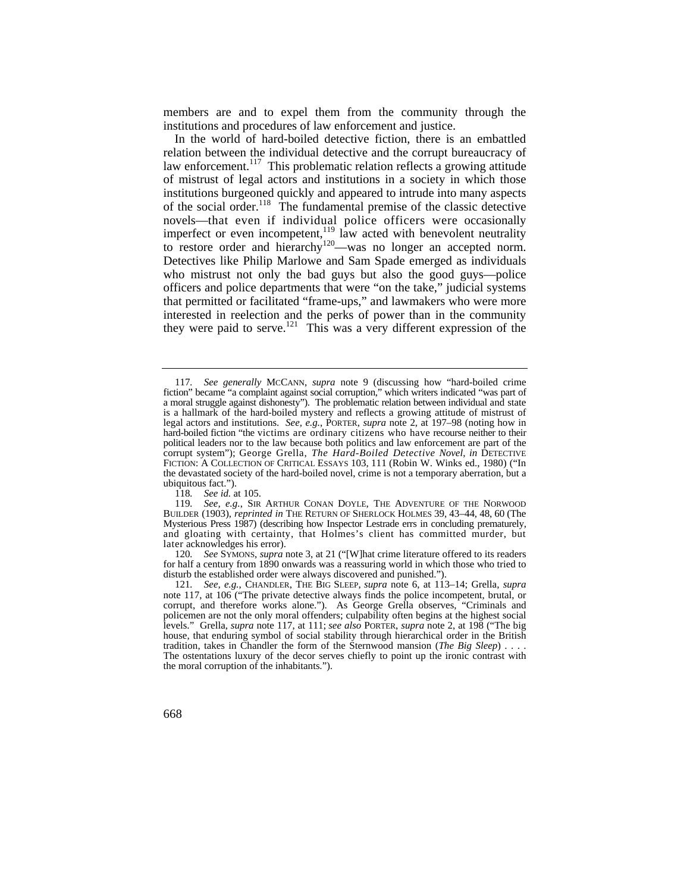members are and to expel them from the community through the institutions and procedures of law enforcement and justice.

 novels—that even if individual police officers were occasionally In the world of hard-boiled detective fiction, there is an embattled relation between the individual detective and the corrupt bureaucracy of law enforcement.<sup>117</sup> This problematic relation reflects a growing attitude of mistrust of legal actors and institutions in a society in which those institutions burgeoned quickly and appeared to intrude into many aspects of the social order.<sup>118</sup> The fundamental premise of the classic detective imperfect or even incompetent,<sup>119</sup> law acted with benevolent neutrality to restore order and hierarchy<sup>120</sup>—was no longer an accepted norm.<br>Detectives like Philip Marlowe and Sam Spade emerged as individuals who mistrust not only the bad guys but also the good guys—police officers and police departments that were "on the take," judicial systems that permitted or facilitated "frame-ups," and lawmakers who were more interested in reelection and the perks of power than in the community they were paid to serve.121 This was a very different expression of the

118*. See id.* at 105.

120*. See* SYMONS, *supra* note 3, at 21 ("[W]hat crime literature offered to its readers for half a century from 1890 onwards was a reassuring world in which those who tried to disturb the established order were always discovered and punished.").

 corrupt, and therefore works alone."). As George Grella observes, "Criminals and tradition, takes in Chandler the form of the Sternwood mansion (*The Big Sleep*).... 121*. See, e.g.*, CHANDLER, THE BIG SLEEP, *supra* note 6, at 113–14; Grella, *supra*  note 117, at 106 ("The private detective always finds the police incompetent, brutal, or policemen are not the only moral offenders; culpability often begins at the highest social levels." Grella, *supra* note 117, at 111; *see also* PORTER, *supra* note 2, at 198 ("The big house, that enduring symbol of social stability through hierarchical order in the British The ostentations luxury of the decor serves chiefly to point up the ironic contrast with the moral corruption of the inhabitants.").

 a moral struggle against dishonesty"). The problematic relation between individual and state hard-boiled fiction "the victims are ordinary citizens who have recourse neither to their corrupt system"); George Grella, *The Hard-Boiled Detective Novel*, *in* DETECTIVE 117*. See generally* MCCANN, *supra* note 9 (discussing how "hard-boiled crime fiction" became "a complaint against social corruption," which writers indicated "was part of is a hallmark of the hard-boiled mystery and reflects a growing attitude of mistrust of legal actors and institutions. *See, e.g.*, PORTER, *supra* note 2, at 197–98 (noting how in political leaders nor to the law because both politics and law enforcement are part of the FICTION: A COLLECTION OF CRITICAL ESSAYS 103, 111 (Robin W. Winks ed., 1980) ("In the devastated society of the hard-boiled novel, crime is not a temporary aberration, but a ubiquitous fact.").

 BUILDER (1903), *reprinted in* THE RETURN OF SHERLOCK HOLMES 39, 43–44, 48, 60 (The and gloating with certainty, that Holmes's client has committed murder, but 119*. See, e.g.*, SIR ARTHUR CONAN DOYLE, THE ADVENTURE OF THE NORWOOD Mysterious Press 1987) (describing how Inspector Lestrade errs in concluding prematurely, later acknowledges his error).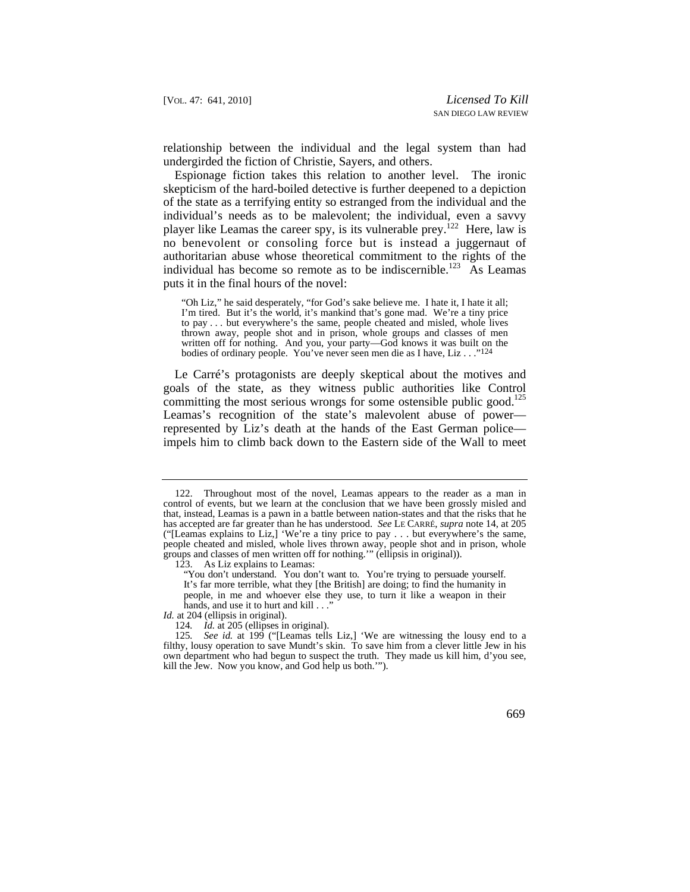relationship between the individual and the legal system than had undergirded the fiction of Christie, Sayers, and others.

 no benevolent or consoling force but is instead a juggernaut of Espionage fiction takes this relation to another level. The ironic skepticism of the hard-boiled detective is further deepened to a depiction of the state as a terrifying entity so estranged from the individual and the individual's needs as to be malevolent; the individual, even a savvy player like Leamas the career spy, is its vulnerable prey.122 Here, law is authoritarian abuse whose theoretical commitment to the rights of the individual has become so remote as to be indiscernible.<sup>123</sup> As Leamas puts it in the final hours of the novel:

"Oh Liz," he said desperately, "for God's sake believe me. I hate it, I hate it all; I'm tired. But it's the world, it's mankind that's gone mad. We're a tiny price to pay . . . but everywhere's the same, people cheated and misled, whole lives thrown away, people shot and in prison, whole groups and classes of men written off for nothing. And you, your party—God knows it was built on the bodies of ordinary people. You've never seen men die as I have, Liz . . ."124

committing the most serious wrongs for some ostensible public good.<sup>125</sup> Le Carré's protagonists are deeply skeptical about the motives and goals of the state, as they witness public authorities like Control Leamas's recognition of the state's malevolent abuse of power represented by Liz's death at the hands of the East German police impels him to climb back down to the Eastern side of the Wall to meet

 that, instead, Leamas is a pawn in a battle between nation-states and that the risks that he 122. Throughout most of the novel, Leamas appears to the reader as a man in control of events, but we learn at the conclusion that we have been grossly misled and has accepted are far greater than he has understood. *See* LE CARRÉ, *supra* note 14, at 205 ("[Leamas explains to Liz,] 'We're a tiny price to pay . . . but everywhere's the same, people cheated and misled, whole lives thrown away, people shot and in prison, whole groups and classes of men written off for nothing.'" (ellipsis in original)).

 <sup>123.</sup> As Liz explains to Leamas:

<sup>&</sup>quot;You don't understand. You don't want to. You're trying to persuade yourself. It's far more terrible, what they [the British] are doing; to find the humanity in people, in me and whoever else they use, to turn it like a weapon in their hands, and use it to hurt and kill . . ."

*Id.* at 204 (ellipsis in original).

<sup>124</sup>*. Id.* at 205 (ellipses in original).

<sup>125</sup>*. See id.* at 199 ("[Leamas tells Liz,] 'We are witnessing the lousy end to a filthy, lousy operation to save Mundt's skin. To save him from a clever little Jew in his own department who had begun to suspect the truth. They made us kill him, d'you see, kill the Jew. Now you know, and God help us both.'").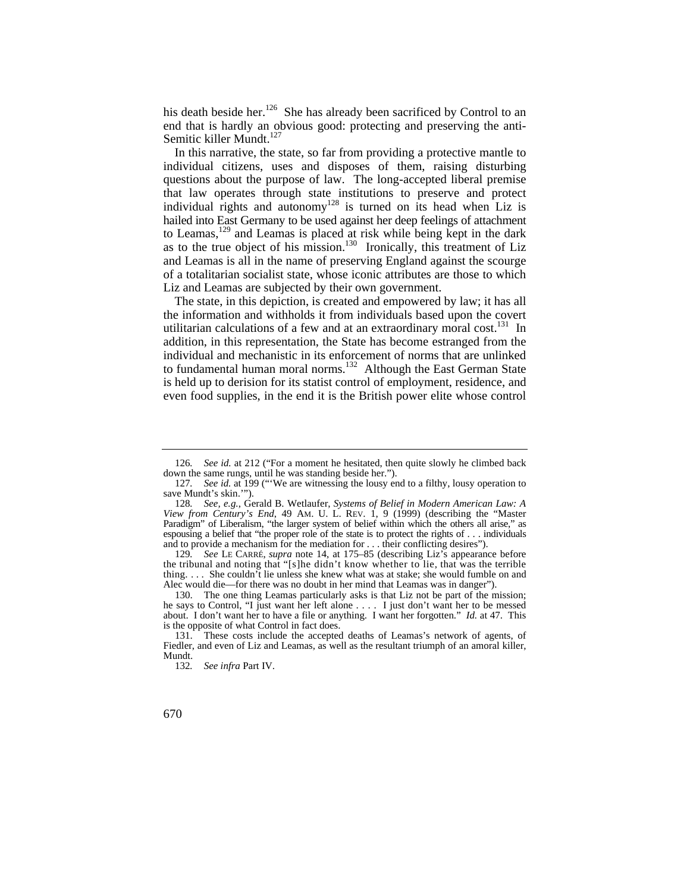his death beside her.<sup>126</sup> She has already been sacrificed by Control to an end that is hardly an obvious good: protecting and preserving the anti-Semitic killer Mundt. $127$ 

In this narrative, the state, so far from providing a protective mantle to individual citizens, uses and disposes of them, raising disturbing questions about the purpose of law. The long-accepted liberal premise that law operates through state institutions to preserve and protect individual rights and autonomy<sup>128</sup> is turned on its head when Liz is hailed into East Germany to be used against her deep feelings of attachment to Leamas,<sup>129</sup> and Leamas is placed at risk while being kept in the dark as to the true object of his mission.<sup>130</sup> Ironically, this treatment of Liz and Leamas is all in the name of preserving England against the scourge of a totalitarian socialist state, whose iconic attributes are those to which Liz and Leamas are subjected by their own government.

The state, in this depiction, is created and empowered by law; it has all the information and withholds it from individuals based upon the covert utilitarian calculations of a few and at an extraordinary moral cost.<sup>131</sup> In addition, in this representation, the State has become estranged from the individual and mechanistic in its enforcement of norms that are unlinked to fundamental human moral norms.<sup>132</sup> Although the East German State is held up to derision for its statist control of employment, residence, and even food supplies, in the end it is the British power elite whose control

<sup>126</sup>*. See id.* at 212 ("For a moment he hesitated, then quite slowly he climbed back down the same rungs, until he was standing beside her.").

<sup>127</sup>*. See id.* at 199 ("'We are witnessing the lousy end to a filthy, lousy operation to save Mundt's skin.'").

 *View from Century's End*, 49 AM. U. L. REV. 1, 9 (1999) (describing the "Master Paradigm" of Liberalism, "the larger system of belief within which the others all arise," as 128*. See, e.g.*, Gerald B. Wetlaufer, *Systems of Belief in Modern American Law: A*  espousing a belief that "the proper role of the state is to protect the rights of . . . individuals and to provide a mechanism for the mediation for . . . their conflicting desires").

 the tribunal and noting that "[s]he didn't know whether to lie, that was the terrible 129*. See* LE CARRÉ, *supra* note 14, at 175–85 (describing Liz's appearance before thing. . . . She couldn't lie unless she knew what was at stake; she would fumble on and Alec would die—for there was no doubt in her mind that Leamas was in danger").

<sup>130.</sup> The one thing Leamas particularly asks is that Liz not be part of the mission; he says to Control, "I just want her left alone . . . . I just don't want her to be messed about. I don't want her to have a file or anything. I want her forgotten." *Id.* at 47. This is the opposite of what Control in fact does.

<sup>131.</sup> These costs include the accepted deaths of Leamas's network of agents, of Fiedler, and even of Liz and Leamas, as well as the resultant triumph of an amoral killer, Mundt.

<sup>132</sup>*. See infra* Part IV.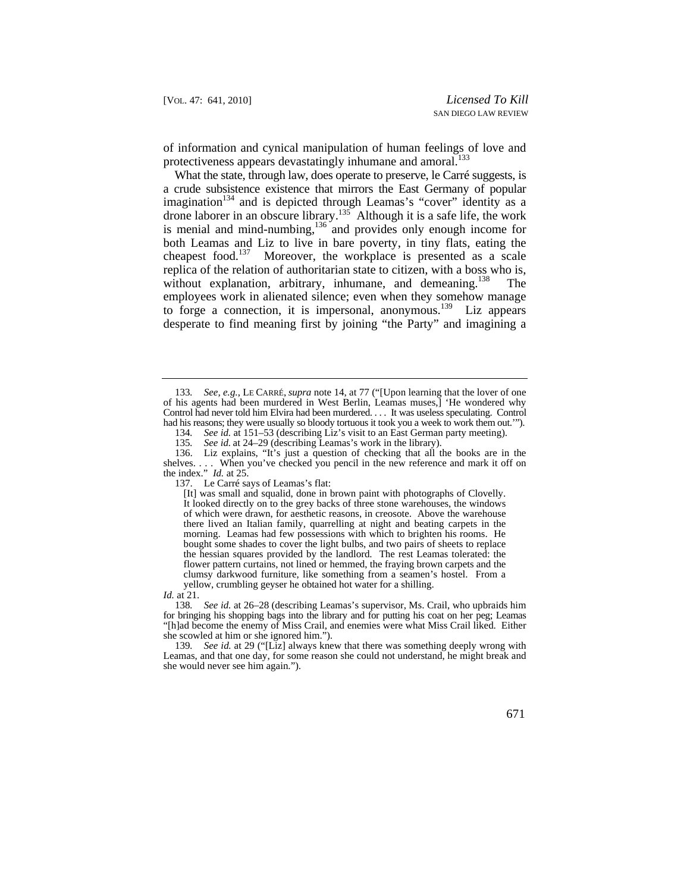of information and cynical manipulation of human feelings of love and protectiveness appears devastatingly inhumane and amoral.<sup>133</sup>

 a crude subsistence existence that mirrors the East Germany of popular drone laborer in an obscure library.<sup>135</sup> Although it is a safe life, the work without explanation, arbitrary, inhumane, and demeaning.<sup>138</sup> The What the state, through law, does operate to preserve, le Carré suggests, is imagination<sup>134</sup> and is depicted through Leamas's "cover" identity as a is menial and mind-numbing,<sup>136</sup> and provides only enough income for both Leamas and Liz to live in bare poverty, in tiny flats, eating the cheapest food.<sup>137</sup> Moreover, the workplace is presented as a scale replica of the relation of authoritarian state to citizen, with a boss who is, employees work in alienated silence; even when they somehow manage to forge a connection, it is impersonal, anonymous.<sup>139</sup> Liz appears desperate to find meaning first by joining "the Party" and imagining a

137. Le Carré says of Leamas's flat:

 Control had never told him Elvira had been murdered. . . . It was useless speculating. Control had his reasons; they were usually so bloody tortuous it took you a week to work them out.'"). 133*. See, e.g.*, LE CARRÉ, *supra* note 14, at 77 ("[Upon learning that the lover of one of his agents had been murdered in West Berlin, Leamas muses,] 'He wondered why

<sup>134</sup>*. See id.* at 151–53 (describing Liz's visit to an East German party meeting).

<sup>135</sup>*. See id.* at 24–29 (describing Leamas's work in the library).

<sup>136.</sup> Liz explains, "It's just a question of checking that all the books are in the shelves. . . . When you've checked you pencil in the new reference and mark it off on the index." *Id.* at 25.

<sup>[</sup>It] was small and squalid, done in brown paint with photographs of Clovelly. It looked directly on to the grey backs of three stone warehouses, the windows of which were drawn, for aesthetic reasons, in creosote. Above the warehouse there lived an Italian family, quarrelling at night and beating carpets in the morning. Leamas had few possessions with which to brighten his rooms. He bought some shades to cover the light bulbs, and two pairs of sheets to replace the hessian squares provided by the landlord. The rest Leamas tolerated: the flower pattern curtains, not lined or hemmed, the fraying brown carpets and the clumsy darkwood furniture, like something from a seamen's hostel. From a yellow, crumbling geyser he obtained hot water for a shilling.

*Id.* at 21.

<sup>138</sup>*. See id.* at 26–28 (describing Leamas's supervisor, Ms. Crail, who upbraids him for bringing his shopping bags into the library and for putting his coat on her peg; Leamas "[h]ad become the enemy of Miss Crail, and enemies were what Miss Crail liked. Either she scowled at him or she ignored him.").

 she would never see him again."). 139*. See id.* at 29 ("[Liz] always knew that there was something deeply wrong with Leamas, and that one day, for some reason she could not understand, he might break and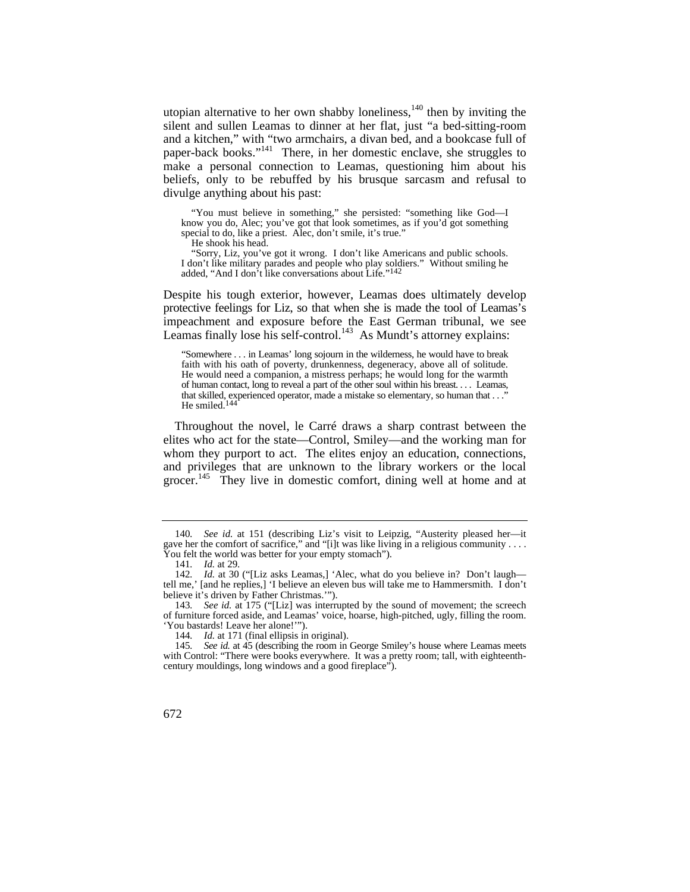utopian alternative to her own shabby loneliness, $140$  then by inviting the silent and sullen Leamas to dinner at her flat, just "a bed-sitting-room and a kitchen," with "two armchairs, a divan bed, and a bookcase full of paper-back books."141 There, in her domestic enclave, she struggles to make a personal connection to Leamas, questioning him about his beliefs, only to be rebuffed by his brusque sarcasm and refusal to divulge anything about his past:

"You must believe in something," she persisted: "something like God—I know you do, Alec; you've got that look sometimes, as if you'd got something special to do, like a priest. Alec, don't smile, it's true."

He shook his head.

"Sorry, Liz, you've got it wrong. I don't like Americans and public schools. I don't like military parades and people who play soldiers." Without smiling he added, "And I don't like conversations about Life."142

Despite his tough exterior, however, Leamas does ultimately develop protective feelings for Liz, so that when she is made the tool of Leamas's impeachment and exposure before the East German tribunal, we see Leamas finally lose his self-control.<sup>143</sup> As Mundt's attorney explains:

 "Somewhere . . . in Leamas' long sojourn in the wilderness, he would have to break faith with his oath of poverty, drunkenness, degeneracy, above all of solitude. He would need a companion, a mistress perhaps; he would long for the warmth of human contact, long to reveal a part of the other soul within his breast. . . . Leamas, that skilled, experienced operator, made a mistake so elementary, so human that . . ." He smiled. $14$ 

Throughout the novel, le Carré draws a sharp contrast between the elites who act for the state—Control, Smiley—and the working man for whom they purport to act. The elites enjoy an education, connections, and privileges that are unknown to the library workers or the local grocer.<sup>145</sup> They live in domestic comfort, dining well at home and at

 gave her the comfort of sacrifice," and "[i]t was like living in a religious community . . . . You felt the world was better for your empty stomach"). 140*. See id.* at 151 (describing Liz's visit to Leipzig, "Austerity pleased her—it

<sup>141</sup>*. Id.* at 29.

 142*. Id.* at 30 ("[Liz asks Leamas,] 'Alec, what do you believe in? Don't laugh tell me,' [and he replies,] 'I believe an eleven bus will take me to Hammersmith. I don't believe it's driven by Father Christmas.'").

<sup>143</sup>*. See id.* at 175 ("[Liz] was interrupted by the sound of movement; the screech of furniture forced aside, and Leamas' voice, hoarse, high-pitched, ugly, filling the room. 'You bastards! Leave her alone!'").

<sup>144</sup>*. Id.* at 171 (final ellipsis in original).

<sup>145</sup>*. See id.* at 45 (describing the room in George Smiley's house where Leamas meets with Control: "There were books everywhere. It was a pretty room; tall, with eighteenthcentury mouldings, long windows and a good fireplace").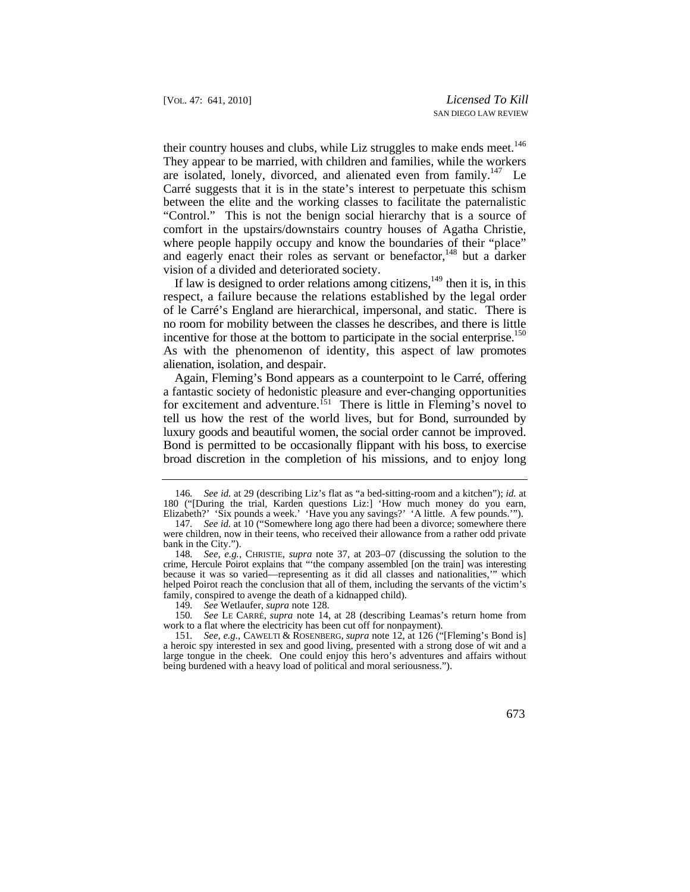their country houses and clubs, while Liz struggles to make ends meet.<sup>146</sup> They appear to be married, with children and families, while the workers are isolated, lonely, divorced, and alienated even from family.<sup>147</sup> Le Carré suggests that it is in the state's interest to perpetuate this schism between the elite and the working classes to facilitate the paternalistic "Control." This is not the benign social hierarchy that is a source of comfort in the upstairs/downstairs country houses of Agatha Christie, where people happily occupy and know the boundaries of their "place" and eagerly enact their roles as servant or benefactor.<sup>148</sup> but a darker vision of a divided and deteriorated society.

If law is designed to order relations among citizens, $149$  then it is, in this of le Carré's England are hierarchical, impersonal, and static. There is no room for mobility between the classes he describes, and there is little incentive for those at the bottom to participate in the social enterprise.<sup>150</sup> As with the phenomenon of identity, this aspect of law promotes respect, a failure because the relations established by the legal order alienation, isolation, and despair.

for excitement and adventure.<sup>151</sup> There is little in Fleming's novel to tell us how the rest of the world lives, but for Bond, surrounded by luxury goods and beautiful women, the social order cannot be improved. broad discretion in the completion of his missions, and to enjoy long Again, Fleming's Bond appears as a counterpoint to le Carré, offering a fantastic society of hedonistic pleasure and ever-changing opportunities Bond is permitted to be occasionally flippant with his boss, to exercise

Elizabeth?' 'Six pounds a week.' 'Have you any savings?' 'A little. A few pounds.'"). 146*. See id.* at 29 (describing Liz's flat as "a bed-sitting-room and a kitchen"); *id.* at 180 ("[During the trial, Karden questions Liz:] 'How much money do you earn,

<sup>147</sup>*. See id.* at 10 ("Somewhere long ago there had been a divorce; somewhere there were children, now in their teens, who received their allowance from a rather odd private bank in the City.").

<sup>148</sup>*. See, e.g.*, CHRISTIE, *supra* note 37, at 203–07 (discussing the solution to the crime, Hercule Poirot explains that "'the company assembled [on the train] was interesting because it was so varied—representing as it did all classes and nationalities,'" which helped Poirot reach the conclusion that all of them, including the servants of the victim's family, conspired to avenge the death of a kidnapped child).

<sup>149</sup>*. See* Wetlaufer, *supra* note 128.

<sup>150</sup>*. See* LE CARRÉ, *supra* note 14, at 28 (describing Leamas's return home from work to a flat where the electricity has been cut off for nonpayment).

<sup>151</sup>*. See, e.g.*, CAWELTI & ROSENBERG, *supra* note 12, at 126 ("[Fleming's Bond is] a heroic spy interested in sex and good living, presented with a strong dose of wit and a large tongue in the cheek. One could enjoy this hero's adventures and affairs without being burdened with a heavy load of political and moral seriousness.").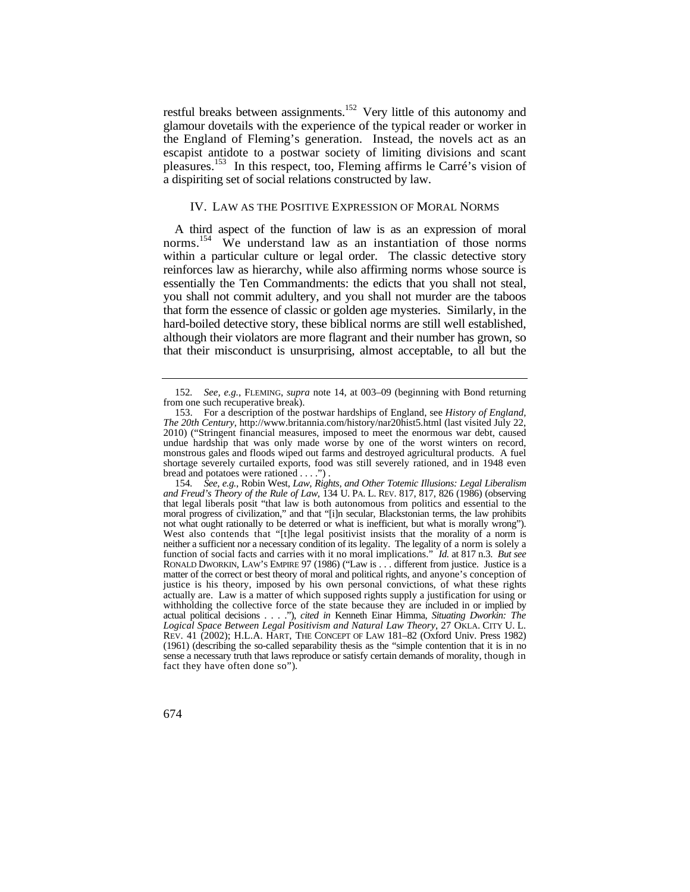glamour dovetails with the experience of the typical reader or worker in the England of Fleming's generation. Instead, the novels act as an pleasures.153 In this respect, too, Fleming affirms le Carré's vision of restful breaks between assignments.<sup>152</sup> Very little of this autonomy and escapist antidote to a postwar society of limiting divisions and scant a dispiriting set of social relations constructed by law.

# IV. LAW AS THE POSITIVE EXPRESSION OF MORAL NORMS

norms.<sup>154</sup> We understand law as an instantiation of those norms within a particular culture or legal order. The classic detective story you shall not commit adultery, and you shall not murder are the taboos that form the essence of classic or golden age mysteries. Similarly, in the A third aspect of the function of law is as an expression of moral reinforces law as hierarchy, while also affirming norms whose source is essentially the Ten Commandments: the edicts that you shall not steal, hard-boiled detective story, these biblical norms are still well established, although their violators are more flagrant and their number has grown, so that their misconduct is unsurprising, almost acceptable, to all but the

<sup>152</sup>*. See, e.g.*, FLEMING, *supra* note 14, at 003–09 (beginning with Bond returning from one such recuperative break).

<sup>153.</sup> For a description of the postwar hardships of England, see *History of England, The 20th Century*, <http://www.britannia.com/history/nar20hist5.html> (last visited July 22, 2010) ("Stringent financial measures, imposed to meet the enormous war debt, caused undue hardship that was only made worse by one of the worst winters on record, monstrous gales and floods wiped out farms and destroyed agricultural products. A fuel shortage severely curtailed exports, food was still severely rationed, and in 1948 even bread and potatoes were rationed . . . .") .

 *and Freud's Theory of the Rule of Law*, 134 U. PA. L. REV. 817, 817, 826 (1986) (observing that legal liberals posit "that law is both autonomous from politics and essential to the moral progress of civilization," and that "[i]n secular, Blackstonian terms, the law prohibits West also contends that "[t]he legal positivist insists that the morality of a norm is neither a sufficient nor a necessary condition of its legality. The legality of a norm is solely a function of social facts and carries with it no moral implications." *Id.* at 817 n.3. *But see*  matter of the correct or best theory of moral and political rights, and anyone's conception of withholding the collective force of the state because they are included in or implied by *Logical Space Between Legal Positivism and Natural Law Theory*, 27 OKLA. CITY U. L. (1961) (describing the so-called separability thesis as the "simple contention that it is in no sense a necessary truth that laws reproduce or satisfy certain demands of morality, though in fact they have often done so"). 154*. See, e.g.*, Robin West, *Law, Rights, and Other Totemic Illusions: Legal Liberalism*  not what ought rationally to be deterred or what is inefficient, but what is morally wrong"). RONALD DWORKIN, LAW'S EMPIRE 97 (1986) ("Law is . . . different from justice. Justice is a justice is his theory, imposed by his own personal convictions, of what these rights actually are. Law is a matter of which supposed rights supply a justification for using or actual political decisions . . . ."), *cited in* Kenneth Einar Himma, *Situating Dworkin: The*  REV. 41 (2002); H.L.A. HART, THE CONCEPT OF LAW 181–82 (Oxford Univ. Press 1982)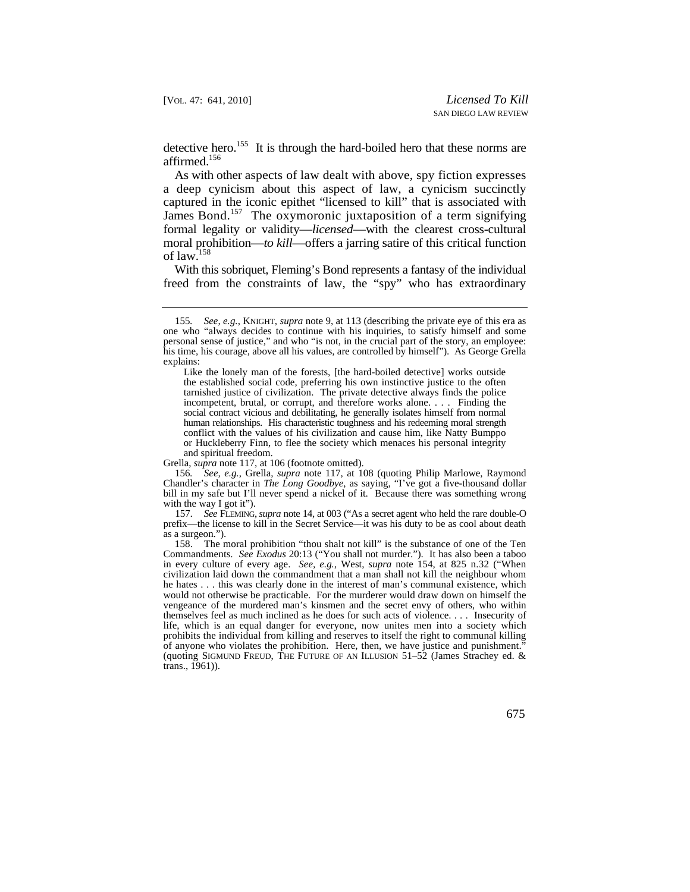detective hero.<sup>155</sup> It is through the hard-boiled hero that these norms are affirmed.156

 As with other aspects of law dealt with above, spy fiction expresses a deep cynicism about this aspect of law, a cynicism succinctly captured in the iconic epithet "licensed to kill" that is associated with James Bond.<sup>157</sup> The oxymoronic juxtaposition of a term signifying formal legality or validity—*licensed*—with the clearest cross-cultural moral prohibition—*to kill*—offers a jarring satire of this critical function of law.<sup>158</sup>

With this sobriquet, Fleming's Bond represents a fantasy of the individual freed from the constraints of law, the "spy" who has extraordinary

Grella, *supra* note 117, at 106 (footnote omitted).

156*. See, e.g.*, Grella, *supra* note 117, at 108 (quoting Philip Marlowe, Raymond Chandler's character in *The Long Goodbye*, as saying, "I've got a five-thousand dollar bill in my safe but I'll never spend a nickel of it. Because there was something wrong with the way I got it".

157*. See* FLEMING, *supra* note 14, at 003 ("As a secret agent who held the rare double-O prefix—the license to kill in the Secret Service—it was his duty to be as cool about death as a surgeon.").

 Commandments. *See Exodus* 20:13 ("You shall not murder."). It has also been a taboo in every culture of every age. *See, e.g.*, West, *supra* note 154, at 825 n.32 ("When life, which is an equal danger for everyone, now unites men into a society which 158. The moral prohibition "thou shalt not kill" is the substance of one of the Ten civilization laid down the commandment that a man shall not kill the neighbour whom he hates . . . this was clearly done in the interest of man's communal existence, which would not otherwise be practicable. For the murderer would draw down on himself the vengeance of the murdered man's kinsmen and the secret envy of others, who within themselves feel as much inclined as he does for such acts of violence. . . . Insecurity of prohibits the individual from killing and reserves to itself the right to communal killing of anyone who violates the prohibition. Here, then, we have justice and punishment." (quoting SIGMUND FREUD, THE FUTURE OF AN ILLUSION 51–52 (James Strachey ed. & trans., 1961)).

<sup>155</sup>*. See, e.g.*, KNIGHT*, supra* note 9, at 113 (describing the private eye of this era as one who "always decides to continue with his inquiries, to satisfy himself and some personal sense of justice," and who "is not, in the crucial part of the story, an employee: his time, his courage, above all his values, are controlled by himself"). As George Grella explains:

 social contract vicious and debilitating, he generally isolates himself from normal or Huckleberry Finn, to flee the society which menaces his personal integrity Like the lonely man of the forests, [the hard-boiled detective] works outside the established social code, preferring his own instinctive justice to the often tarnished justice of civilization. The private detective always finds the police incompetent, brutal, or corrupt, and therefore works alone. . . . Finding the human relationships. His characteristic toughness and his redeeming moral strength conflict with the values of his civilization and cause him, like Natty Bumppo and spiritual freedom.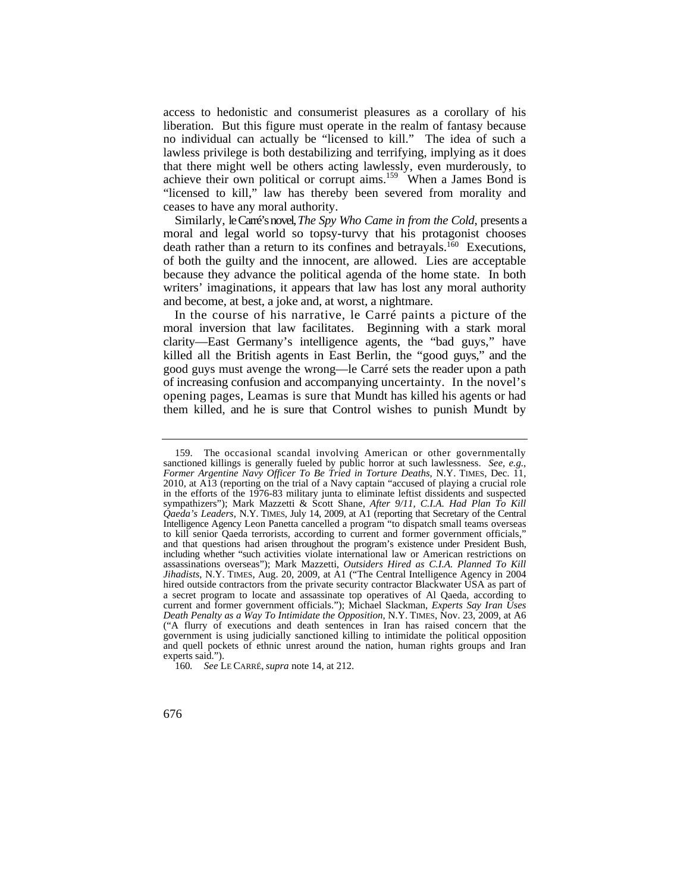access to hedonistic and consumerist pleasures as a corollary of his liberation. But this figure must operate in the realm of fantasy because no individual can actually be "licensed to kill." The idea of such a lawless privilege is both destabilizing and terrifying, implying as it does that there might well be others acting lawlessly, even murderously, to achieve their own political or corrupt aims.159 When a James Bond is "licensed to kill," law has thereby been severed from morality and ceases to have any moral authority.

Similarly, le Carré's novel,*The Spy Who Came in from the Cold*, presents a moral and legal world so topsy-turvy that his protagonist chooses death rather than a return to its confines and betrayals.<sup>160</sup> Executions, of both the guilty and the innocent, are allowed. Lies are acceptable because they advance the political agenda of the home state. In both writers' imaginations, it appears that law has lost any moral authority and become, at best, a joke and, at worst, a nightmare.

 In the course of his narrative, le Carré paints a picture of the clarity—East Germany's intelligence agents, the "bad guys," have killed all the British agents in East Berlin, the "good guys," and the good guys must avenge the wrong—le Carré sets the reader upon a path of increasing confusion and accompanying uncertainty. In the novel's them killed, and he is sure that Control wishes to punish Mundt by moral inversion that law facilitates. Beginning with a stark moral opening pages, Leamas is sure that Mundt has killed his agents or had

 Intelligence Agency Leon Panetta cancelled a program "to dispatch small teams overseas and that questions had arisen throughout the program's existence under President Bush, 159. The occasional scandal involving American or other governmentally sanctioned killings is generally fueled by public horror at such lawlessness. *See, e.g.*, *Former Argentine Navy Officer To Be Tried in Torture Deaths*, N.Y. TIMES, Dec. 11, 2010, at A13 (reporting on the trial of a Navy captain "accused of playing a crucial role in the efforts of the 1976-83 military junta to eliminate leftist dissidents and suspected sympathizers"); Mark Mazzetti & Scott Shane, *After 9/11, C.I.A. Had Plan To Kill Qaeda's Leaders*, N.Y. TIMES, July 14, 2009, at A1 (reporting that Secretary of the Central to kill senior Qaeda terrorists, according to current and former government officials," including whether "such activities violate international law or American restrictions on assassinations overseas"); Mark Mazzetti, *Outsiders Hired as C.I.A. Planned To Kill Jihadists*, N.Y. TIMES, Aug. 20, 2009, at A1 ("The Central Intelligence Agency in 2004 hired outside contractors from the private security contractor Blackwater USA as part of a secret program to locate and assassinate top operatives of Al Qaeda, according to current and former government officials."); Michael Slackman, *Experts Say Iran Uses Death Penalty as a Way To Intimidate the Opposition*, N.Y. TIMES, Nov. 23, 2009, at A6 ("A flurry of executions and death sentences in Iran has raised concern that the government is using judicially sanctioned killing to intimidate the political opposition and quell pockets of ethnic unrest around the nation, human rights groups and Iran experts said.").

<sup>160</sup>*. See* LE CARRÉ, *supra* note 14, at 212.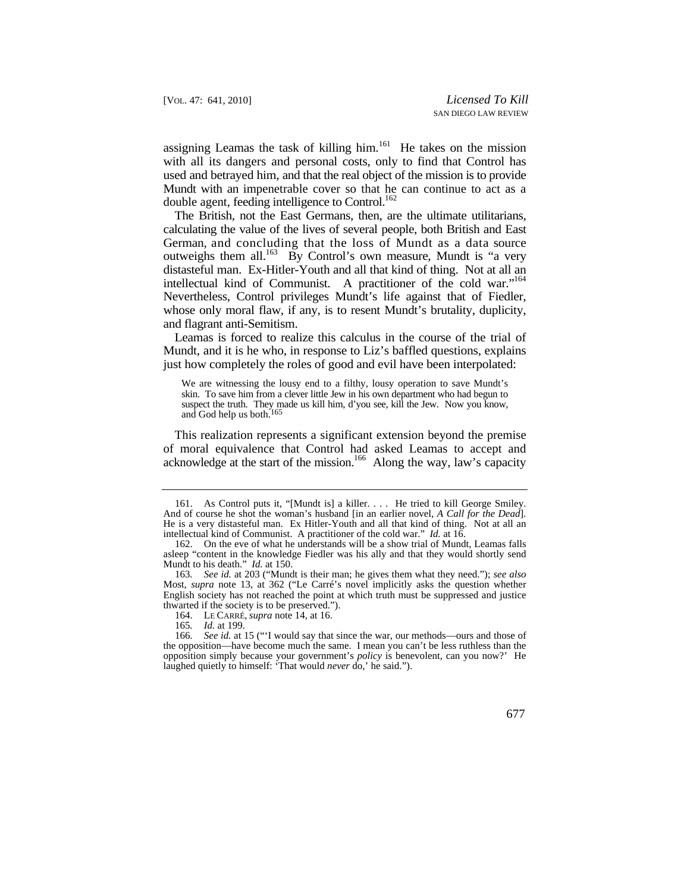assigning Leamas the task of killing him. $161$  He takes on the mission with all its dangers and personal costs, only to find that Control has used and betrayed him, and that the real object of the mission is to provide Mundt with an impenetrable cover so that he can continue to act as a double agent, feeding intelligence to Control.<sup>162</sup>

 German, and concluding that the loss of Mundt as a data source intellectual kind of Communist. A practitioner of the cold war."164 The British, not the East Germans, then, are the ultimate utilitarians, calculating the value of the lives of several people, both British and East outweighs them all.<sup>163</sup> By Control's own measure, Mundt is "a very distasteful man. Ex-Hitler-Youth and all that kind of thing. Not at all an Nevertheless, Control privileges Mundt's life against that of Fiedler, whose only moral flaw, if any, is to resent Mundt's brutality, duplicity, and flagrant anti-Semitism.

 Leamas is forced to realize this calculus in the course of the trial of Mundt, and it is he who, in response to Liz's baffled questions, explains just how completely the roles of good and evil have been interpolated:

 skin. To save him from a clever little Jew in his own department who had begun to suspect the truth. They made us kill him, d'you see, kill the Jew. Now you know, We are witnessing the lousy end to a filthy, lousy operation to save Mundt's and God help us both.<sup>165</sup>

acknowledge at the start of the mission.<sup>166</sup> Along the way, law's capacity This realization represents a significant extension beyond the premise of moral equivalence that Control had asked Leamas to accept and

 161. As Control puts it, "[Mundt is] a killer. . . . He tried to kill George Smiley. And of course he shot the woman's husband [in an earlier novel, *A Call for the Dead*]. He is a very distasteful man. Ex Hitler-Youth and all that kind of thing. Not at all an intellectual kind of Communist. A practitioner of the cold war." *Id.* at 16.

<sup>162.</sup> On the eve of what he understands will be a show trial of Mundt, Leamas falls asleep "content in the knowledge Fiedler was his ally and that they would shortly send Mundt to his death." *Id.* at 150.

<sup>163</sup>*. See id.* at 203 ("Mundt is their man; he gives them what they need."); *see also*  Most, *supra* note 13, at 362 ("Le Carré's novel implicitly asks the question whether English society has not reached the point at which truth must be suppressed and justice thwarted if the society is to be preserved.").

 <sup>164.</sup> LE CARRÉ, *supra* note 14, at 16.

<sup>165</sup>*. Id.* at 199.

<sup>166</sup>*. See id.* at 15 ("'I would say that since the war, our methods—ours and those of the opposition—have become much the same. I mean you can't be less ruthless than the opposition simply because your government's *policy* is benevolent, can you now?' He laughed quietly to himself: 'That would *never* do,' he said.").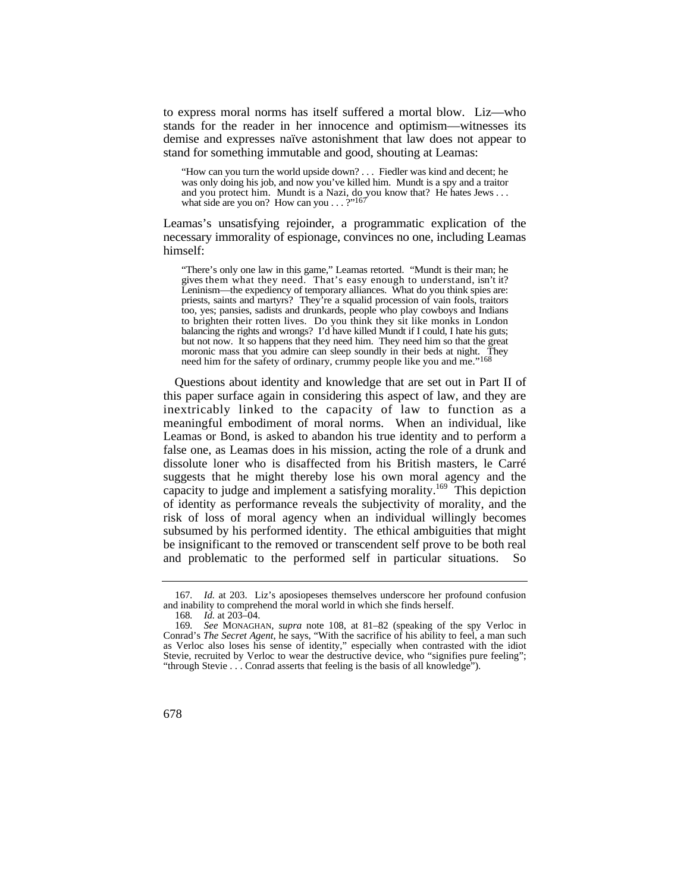to express moral norms has itself suffered a mortal blow. Liz—who stands for the reader in her innocence and optimism—witnesses its demise and expresses naïve astonishment that law does not appear to stand for something immutable and good, shouting at Leamas:

 "How can you turn the world upside down? . . . Fiedler was kind and decent; he and you protect him. Mundt is a Nazi, do you know that? He hates Jews . . . was only doing his job, and now you've killed him. Mundt is a spy and a traitor what side are you on? How can you . . . ?"167

Leamas's unsatisfying rejoinder, a programmatic explication of the necessary immorality of espionage, convinces no one, including Leamas himself:

 "There's only one law in this game," Leamas retorted. "Mundt is their man; he gives them what they need. That's easy enough to understand, isn't it? Leninism—the expediency of temporary alliances. What do you think spies are: but not now. It so happens that they need him. They need him so that the great moronic mass that you admire can sleep soundly in their beds at night. They priests, saints and martyrs? They're a squalid procession of vain fools, traitors too, yes; pansies, sadists and drunkards, people who play cowboys and Indians to brighten their rotten lives. Do you think they sit like monks in London balancing the rights and wrongs? I'd have killed Mundt if I could, I hate his guts; need him for the safety of ordinary, crummy people like you and me."168

 Questions about identity and knowledge that are set out in Part II of inextricably linked to the capacity of law to function as a meaningful embodiment of moral norms. When an individual, like this paper surface again in considering this aspect of law, and they are Leamas or Bond, is asked to abandon his true identity and to perform a false one, as Leamas does in his mission, acting the role of a drunk and dissolute loner who is disaffected from his British masters, le Carré suggests that he might thereby lose his own moral agency and the capacity to judge and implement a satisfying morality.169 This depiction of identity as performance reveals the subjectivity of morality, and the risk of loss of moral agency when an individual willingly becomes subsumed by his performed identity. The ethical ambiguities that might be insignificant to the removed or transcendent self prove to be both real and problematic to the performed self in particular situations. So

<sup>167</sup>*. Id.* at 203. Liz's aposiopeses themselves underscore her profound confusion and inability to comprehend the moral world in which she finds herself.

<sup>168</sup>*. Id.* at 203–04.

<sup>169</sup>*. See* MONAGHAN*, supra* note 108, at 81–82 (speaking of the spy Verloc in Conrad's *The Secret Agent*, he says, "With the sacrifice of his ability to feel, a man such as Verloc also loses his sense of identity," especially when contrasted with the idiot Stevie, recruited by Verloc to wear the destructive device, who "signifies pure feeling"; "through Stevie . . . Conrad asserts that feeling is the basis of all knowledge").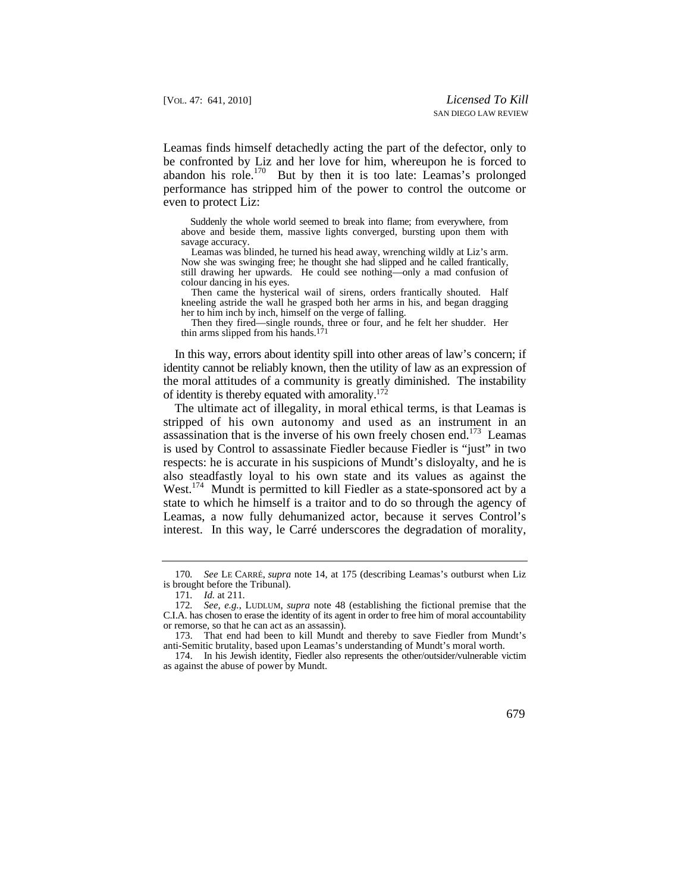Leamas finds himself detachedly acting the part of the defector, only to be confronted by Liz and her love for him, whereupon he is forced to abandon his role.170 But by then it is too late: Leamas's prolonged performance has stripped him of the power to control the outcome or even to protect Liz:

 Suddenly the whole world seemed to break into flame; from everywhere, from above and beside them, massive lights converged, bursting upon them with savage accuracy.

Leamas was blinded, he turned his head away, wrenching wildly at Liz's arm. Now she was swinging free; he thought she had slipped and he called frantically, still drawing her upwards. He could see nothing—only a mad confusion of colour dancing in his eyes.

Then came the hysterical wail of sirens, orders frantically shouted. Half kneeling astride the wall he grasped both her arms in his, and began dragging her to him inch by inch, himself on the verge of falling.

Then they fired—single rounds, three or four, and he felt her shudder. Her thin arms slipped from his hands.<sup>171</sup>

 identity cannot be reliably known, then the utility of law as an expression of the moral attitudes of a community is greatly diminished. The instability In this way, errors about identity spill into other areas of law's concern; if of identity is thereby equated with amorality.<sup>172</sup>

 stripped of his own autonomy and used as an instrument in an The ultimate act of illegality, in moral ethical terms, is that Leamas is assassination that is the inverse of his own freely chosen end.<sup>173</sup> Leamas is used by Control to assassinate Fiedler because Fiedler is "just" in two respects: he is accurate in his suspicions of Mundt's disloyalty, and he is also steadfastly loyal to his own state and its values as against the West.<sup>174</sup> Mundt is permitted to kill Fiedler as a state-sponsored act by a state to which he himself is a traitor and to do so through the agency of Leamas, a now fully dehumanized actor, because it serves Control's interest. In this way, le Carré underscores the degradation of morality,

<sup>170</sup>*. See* LE CARRÉ, *supra* note 14, at 175 (describing Leamas's outburst when Liz is brought before the Tribunal).

<sup>171</sup>*. Id.* at 211.

<sup>172</sup>*. See, e.g.*, LUDLUM, *supra* note 48 (establishing the fictional premise that the C.I.A. has chosen to erase the identity of its agent in order to free him of moral accountability or remorse, so that he can act as an assassin).

<sup>173.</sup> That end had been to kill Mundt and thereby to save Fiedler from Mundt's anti-Semitic brutality, based upon Leamas's understanding of Mundt's moral worth.

<sup>174.</sup> In his Jewish identity, Fiedler also represents the other/outsider/vulnerable victim as against the abuse of power by Mundt.